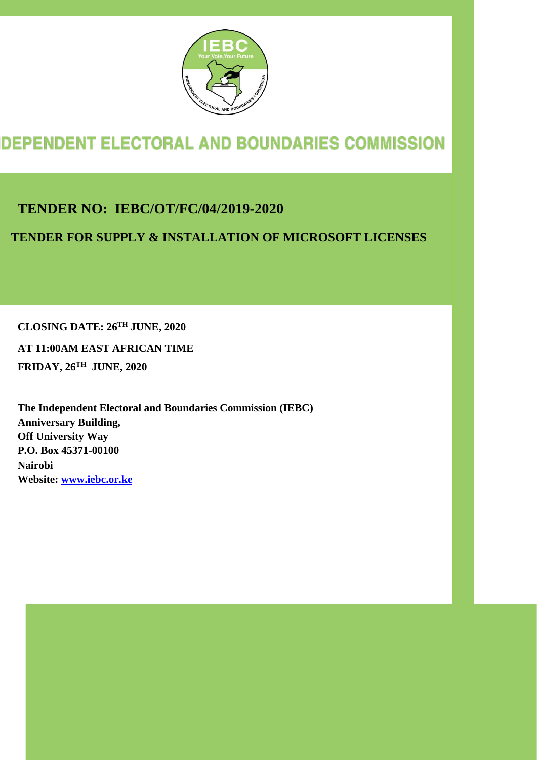

# **DEPENDENT ELECTORAL AND BOUNDARIES COMMISSION**

**TENDER NO: IEBC/OT/FC/04/2019-2020**

**TENDER FOR SUPPLY & INSTALLATION OF MICROSOFT LICENSES**

**CLOSING DATE: 26TH JUNE, 2020** 

**AT 11:00AM EAST AFRICAN TIME FRIDAY, 26TH JUNE, 2020**

**The Independent Electoral and Boundaries Commission (IEBC) Anniversary Building, Off University Way P.O. Box 45371-00100 Nairobi Website: www.iebc.or.ke**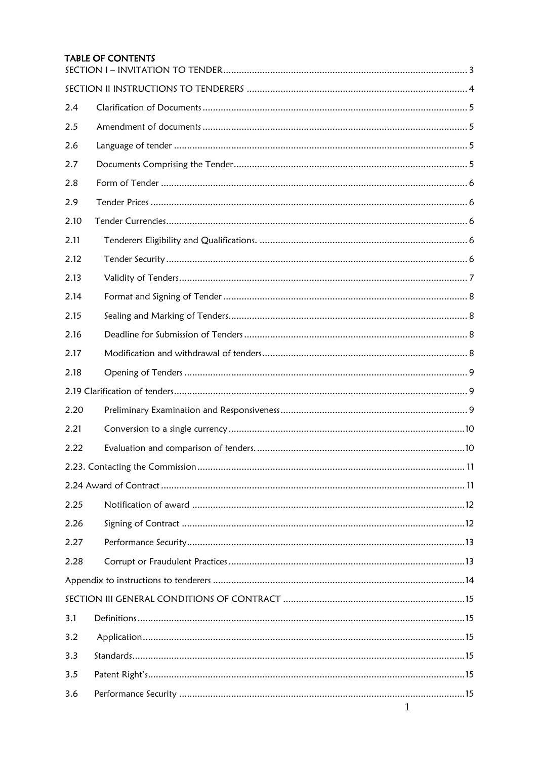#### **TABLE OF CONTENTS**

| 2.4  |  |
|------|--|
| 2.5  |  |
| 2.6  |  |
| 2.7  |  |
| 2.8  |  |
| 2.9  |  |
| 2.10 |  |
| 2.11 |  |
| 2.12 |  |
| 2.13 |  |
| 2.14 |  |
| 2.15 |  |
| 2.16 |  |
| 2.17 |  |
| 2.18 |  |
|      |  |
| 2.20 |  |
| 2.21 |  |
| 2.22 |  |
|      |  |
|      |  |
| 2.25 |  |
| 2.26 |  |
| 2.27 |  |
| 2.28 |  |
|      |  |
|      |  |
| 3.1  |  |
| 3.2  |  |
| 3.3  |  |
| 3.5  |  |
| 3.6  |  |
|      |  |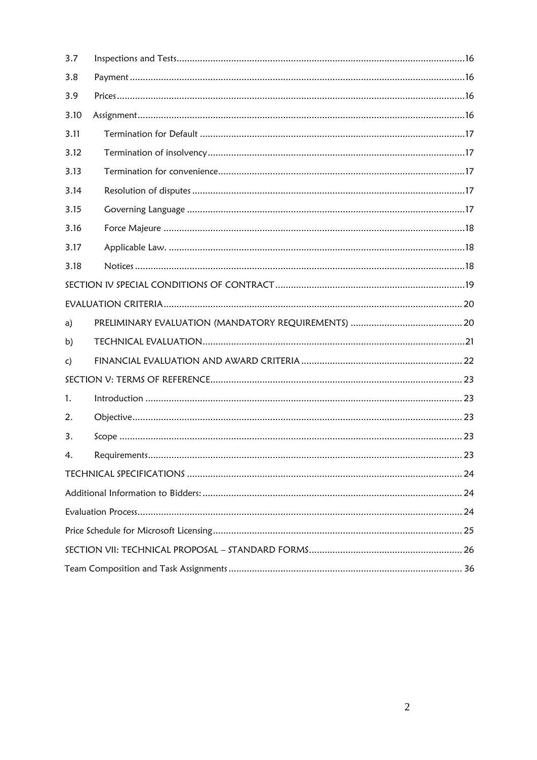<span id="page-2-0"></span>

| 3.7  |  |
|------|--|
| 3.8  |  |
| 3.9  |  |
| 3.10 |  |
| 3.11 |  |
| 3.12 |  |
| 3.13 |  |
| 3.14 |  |
| 3.15 |  |
| 3.16 |  |
| 3.17 |  |
| 3.18 |  |
|      |  |
|      |  |
| a)   |  |
| b)   |  |
| c)   |  |
|      |  |
| 1.   |  |
| 2.   |  |
| 3.   |  |
| 4.   |  |
|      |  |
|      |  |
|      |  |
|      |  |
|      |  |
|      |  |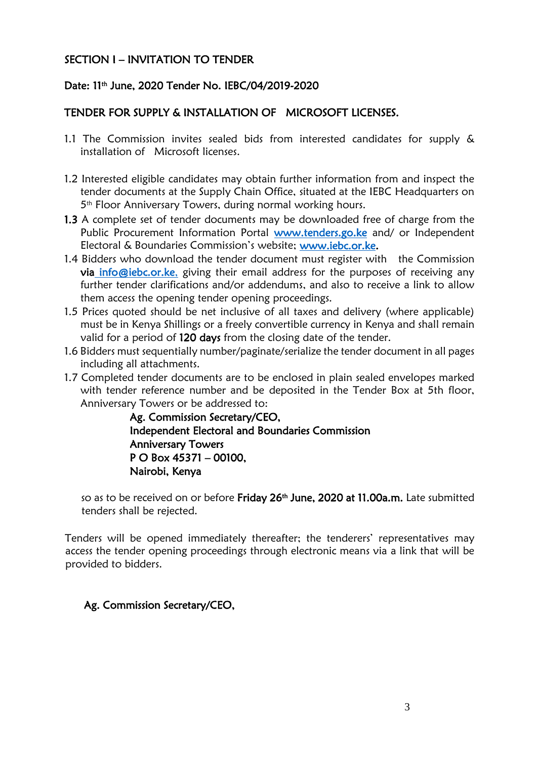#### SECTION I – INVITATION TO TENDER

#### Date: 11th June, 2020 Tender No. IEBC/04/2019-2020

#### TENDER FOR SUPPLY & INSTALLATION OF MICROSOFT LICENSES.

- 1.1 The Commission invites sealed bids from interested candidates for supply & installation of Microsoft licenses.
- 1.2 Interested eligible candidates may obtain further information from and inspect the tender documents at the Supply Chain Office, situated at the IEBC Headquarters on 5 th Floor Anniversary Towers, during normal working hours.
- 1.3 A complete set of tender documents may be downloaded free of charge from the Public Procurement Information Portal [www.tenders.go.ke a](http://www.tenders.go.ke/)nd/ or Independent Electoral & Boundaries Commission's website; [www.iebc.or.ke.](http://www.iebc.or.ke/)
- 1.4 Bidders who download the tender document must register with the Commission via info@iebc.or.ke, giving their email address for the purposes of receiving any further tender clarifications and/or addendums, and also to receive a link to allow them access the opening tender opening proceedings.
- 1.5 Prices quoted should be net inclusive of all taxes and delivery (where applicable) must be in Kenya Shillings or a freely convertible currency in Kenya and shall remain valid for a period of 120 days from the closing date of the tender.
- 1.6 Bidders must sequentially number/paginate/serialize the tender document in all pages including all attachments.
- 1.7 Completed tender documents are to be enclosed in plain sealed envelopes marked with tender reference number and be deposited in the Tender Box at 5th floor, Anniversary Towers or be addressed to:

Ag. Commission Secretary/CEO, Independent Electoral and Boundaries Commission Anniversary Towers P O Box 45371 – 00100, Nairobi, Kenya

so as to be received on or before Friday 26<sup>th</sup> June, 2020 at 11.00a.m. Late submitted tenders shall be rejected.

Tenders will be opened immediately thereafter; the tenderers' representatives may access the tender opening proceedings through electronic means via a link that will be provided to bidders.

#### Ag. Commission Secretary/CEO,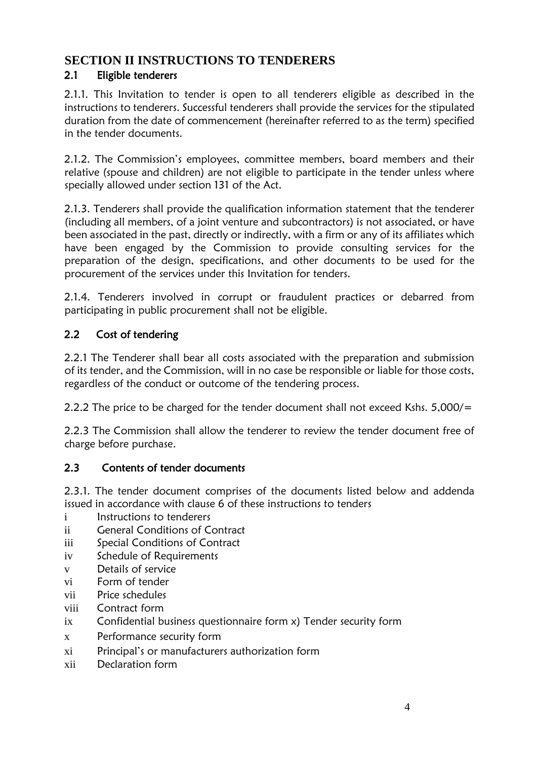## <span id="page-4-0"></span>**SECTION II INSTRUCTIONS TO TENDERERS**

### 2.1 Eligible tenderers

2.1.1. This Invitation to tender is open to all tenderers eligible as described in the instructions to tenderers. Successful tenderers shall provide the services for the stipulated duration from the date of commencement (hereinafter referred to as the term) specified in the tender documents.

2.1.2. The Commission's employees, committee members, board members and their relative (spouse and children) are not eligible to participate in the tender unless where specially allowed under section 131 of the Act.

2.1.3. Tenderers shall provide the qualification information statement that the tenderer (including all members, of a joint venture and subcontractors) is not associated, or have been associated in the past, directly or indirectly, with a firm or any of its affiliates which have been engaged by the Commission to provide consulting services for the preparation of the design, specifications, and other documents to be used for the procurement of the services under this Invitation for tenders.

2.1.4. Tenderers involved in corrupt or fraudulent practices or debarred from participating in public procurement shall not be eligible.

## 2.2 Cost of tendering

2.2.1 The Tenderer shall bear all costs associated with the preparation and submission of its tender, and the Commission, will in no case be responsible or liable for those costs, regardless of the conduct or outcome of the tendering process.

2.2.2 The price to be charged for the tender document shall not exceed Kshs. 5,000/=

2.2.3 The Commission shall allow the tenderer to review the tender document free of charge before purchase.

#### 2.3 Contents of tender documents

2.3.1. The tender document comprises of the documents listed below and addenda issued in accordance with clause 6 of these instructions to tenders

- i Instructions to tenderers
- ii General Conditions of Contract
- iii Special Conditions of Contract
- iv Schedule of Requirements
- v Details of service
- vi Form of tender
- vii Price schedules
- viii Contract form
- ix Confidential business questionnaire form x) Tender security form
- x Performance security form
- xi Principal's or manufacturers authorization form
- xii Declaration form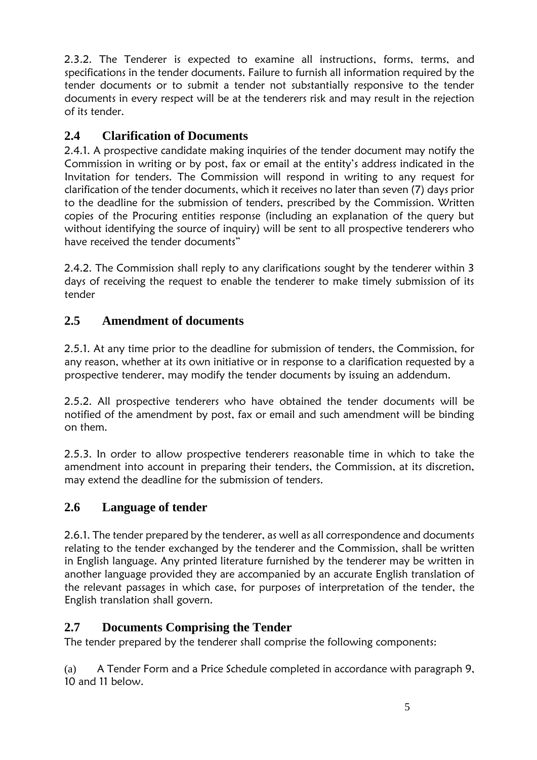2.3.2. The Tenderer is expected to examine all instructions, forms, terms, and specifications in the tender documents. Failure to furnish all information required by the tender documents or to submit a tender not substantially responsive to the tender documents in every respect will be at the tenderers risk and may result in the rejection of its tender.

## <span id="page-5-0"></span>**2.4 Clarification of Documents**

2.4.1. A prospective candidate making inquiries of the tender document may notify the Commission in writing or by post, fax or email at the entity's address indicated in the Invitation for tenders. The Commission will respond in writing to any request for clarification of the tender documents, which it receives no later than seven (7) days prior to the deadline for the submission of tenders, prescribed by the Commission. Written copies of the Procuring entities response (including an explanation of the query but without identifying the source of inquiry) will be sent to all prospective tenderers who have received the tender documents"

2.4.2. The Commission shall reply to any clarifications sought by the tenderer within 3 days of receiving the request to enable the tenderer to make timely submission of its tender

## <span id="page-5-1"></span>**2.5 Amendment of documents**

2.5.1. At any time prior to the deadline for submission of tenders, the Commission, for any reason, whether at its own initiative or in response to a clarification requested by a prospective tenderer, may modify the tender documents by issuing an addendum.

2.5.2. All prospective tenderers who have obtained the tender documents will be notified of the amendment by post, fax or email and such amendment will be binding on them.

2.5.3. In order to allow prospective tenderers reasonable time in which to take the amendment into account in preparing their tenders, the Commission, at its discretion, may extend the deadline for the submission of tenders.

## <span id="page-5-2"></span>**2.6 Language of tender**

2.6.1. The tender prepared by the tenderer, as well as all correspondence and documents relating to the tender exchanged by the tenderer and the Commission, shall be written in English language. Any printed literature furnished by the tenderer may be written in another language provided they are accompanied by an accurate English translation of the relevant passages in which case, for purposes of interpretation of the tender, the English translation shall govern.

## <span id="page-5-3"></span>**2.7 Documents Comprising the Tender**

The tender prepared by the tenderer shall comprise the following components:

(a) A Tender Form and a Price Schedule completed in accordance with paragraph 9, 10 and 11 below.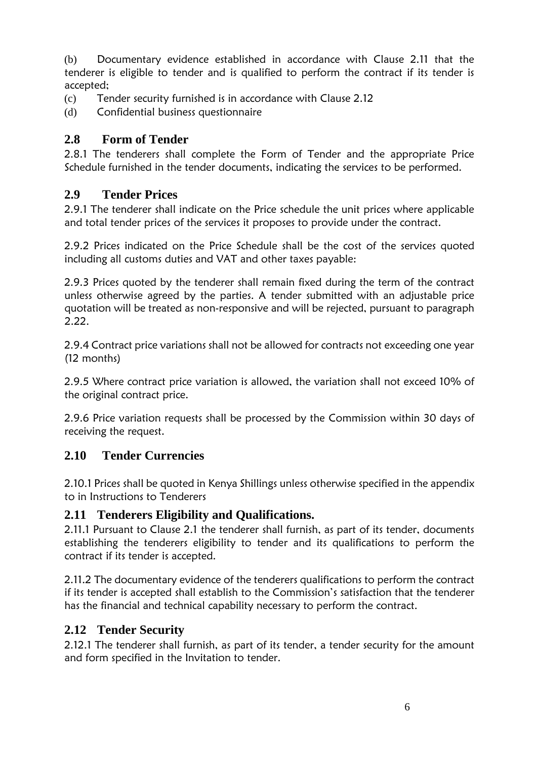(b) Documentary evidence established in accordance with Clause 2.11 that the tenderer is eligible to tender and is qualified to perform the contract if its tender is accepted;

- (c) Tender security furnished is in accordance with Clause 2.12
- (d) Confidential business questionnaire

### <span id="page-6-0"></span>**2.8 Form of Tender**

2.8.1 The tenderers shall complete the Form of Tender and the appropriate Price Schedule furnished in the tender documents, indicating the services to be performed.

#### <span id="page-6-1"></span>**2.9 Tender Prices**

2.9.1 The tenderer shall indicate on the Price schedule the unit prices where applicable and total tender prices of the services it proposes to provide under the contract.

2.9.2 Prices indicated on the Price Schedule shall be the cost of the services quoted including all customs duties and VAT and other taxes payable:

2.9.3 Prices quoted by the tenderer shall remain fixed during the term of the contract unless otherwise agreed by the parties. A tender submitted with an adjustable price quotation will be treated as non-responsive and will be rejected, pursuant to paragraph 2.22.

2.9.4 Contract price variations shall not be allowed for contracts not exceeding one year (12 months)

2.9.5 Where contract price variation is allowed, the variation shall not exceed 10% of the original contract price.

2.9.6 Price variation requests shall be processed by the Commission within 30 days of receiving the request.

#### <span id="page-6-2"></span>**2.10 Tender Currencies**

2.10.1 Prices shall be quoted in Kenya Shillings unless otherwise specified in the appendix to in Instructions to Tenderers

#### <span id="page-6-3"></span>**2.11 Tenderers Eligibility and Qualifications.**

2.11.1 Pursuant to Clause 2.1 the tenderer shall furnish, as part of its tender, documents establishing the tenderers eligibility to tender and its qualifications to perform the contract if its tender is accepted.

2.11.2 The documentary evidence of the tenderers qualifications to perform the contract if its tender is accepted shall establish to the Commission's satisfaction that the tenderer has the financial and technical capability necessary to perform the contract.

#### <span id="page-6-4"></span>**2.12 Tender Security**

2.12.1 The tenderer shall furnish, as part of its tender, a tender security for the amount and form specified in the Invitation to tender.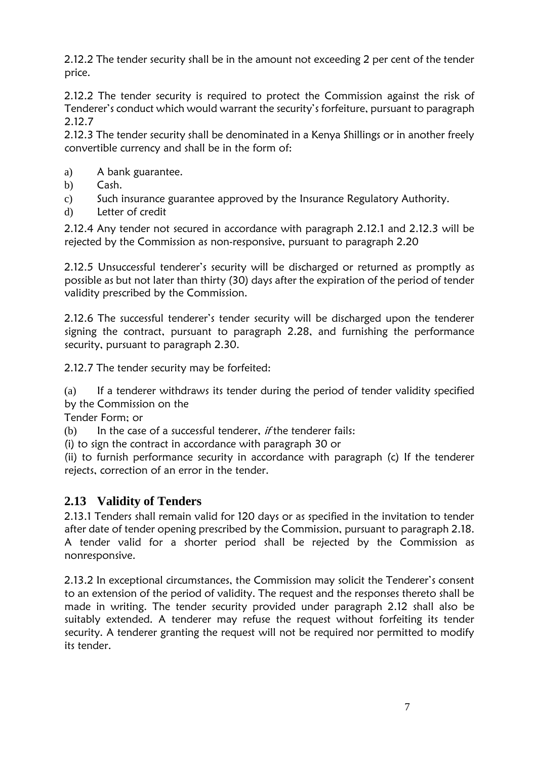2.12.2 The tender security shall be in the amount not exceeding 2 per cent of the tender price.

2.12.2 The tender security is required to protect the Commission against the risk of Tenderer's conduct which would warrant the security's forfeiture, pursuant to paragraph 2.12.7

2.12.3 The tender security shall be denominated in a Kenya Shillings or in another freely convertible currency and shall be in the form of:

- a) A bank guarantee.
- b) Cash.
- c) Such insurance guarantee approved by the Insurance Regulatory Authority.
- d) Letter of credit

2.12.4 Any tender not secured in accordance with paragraph 2.12.1 and 2.12.3 will be rejected by the Commission as non-responsive, pursuant to paragraph 2.20

2.12.5 Unsuccessful tenderer's security will be discharged or returned as promptly as possible as but not later than thirty (30) days after the expiration of the period of tender validity prescribed by the Commission.

2.12.6 The successful tenderer's tender security will be discharged upon the tenderer signing the contract, pursuant to paragraph 2.28, and furnishing the performance security, pursuant to paragraph 2.30.

2.12.7 The tender security may be forfeited:

 $(a)$  If a tenderer withdraws its tender during the period of tender validity specified by the Commission on the

Tender Form; or

(b) In the case of a successful tenderer, if the tenderer fails:

(i) to sign the contract in accordance with paragraph 30 or

(ii) to furnish performance security in accordance with paragraph (c) If the tenderer rejects, correction of an error in the tender.

## <span id="page-7-0"></span>**2.13 Validity of Tenders**

2.13.1 Tenders shall remain valid for 120 days or as specified in the invitation to tender after date of tender opening prescribed by the Commission, pursuant to paragraph 2.18. A tender valid for a shorter period shall be rejected by the Commission as nonresponsive.

2.13.2 In exceptional circumstances, the Commission may solicit the Tenderer's consent to an extension of the period of validity. The request and the responses thereto shall be made in writing. The tender security provided under paragraph 2.12 shall also be suitably extended. A tenderer may refuse the request without forfeiting its tender security. A tenderer granting the request will not be required nor permitted to modify its tender.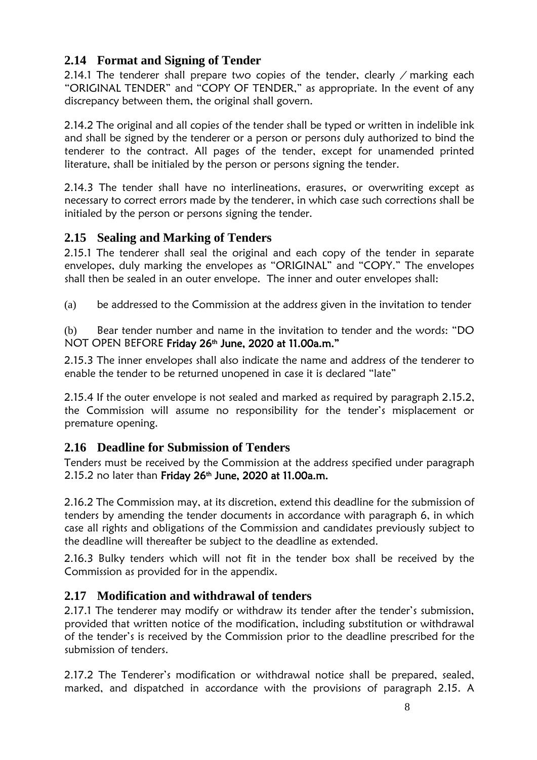### <span id="page-8-0"></span>**2.14 Format and Signing of Tender**

2.14.1 The tenderer shall prepare two copies of the tender, clearly  $\ell$  marking each "ORIGINAL TENDER" and "COPY OF TENDER," as appropriate. In the event of any discrepancy between them, the original shall govern.

2.14.2 The original and all copies of the tender shall be typed or written in indelible ink and shall be signed by the tenderer or a person or persons duly authorized to bind the tenderer to the contract. All pages of the tender, except for unamended printed literature, shall be initialed by the person or persons signing the tender.

2.14.3 The tender shall have no interlineations, erasures, or overwriting except as necessary to correct errors made by the tenderer, in which case such corrections shall be initialed by the person or persons signing the tender.

#### <span id="page-8-1"></span>**2.15 Sealing and Marking of Tenders**

2.15.1 The tenderer shall seal the original and each copy of the tender in separate envelopes, duly marking the envelopes as "ORIGINAL" and "COPY." The envelopes shall then be sealed in an outer envelope. The inner and outer envelopes shall:

(a) be addressed to the Commission at the address given in the invitation to tender

(b) Bear tender number and name in the invitation to tender and the words: "DO NOT OPEN BEFORE Friday 26<sup>th</sup> June, 2020 at 11.00a.m."

2.15.3 The inner envelopes shall also indicate the name and address of the tenderer to enable the tender to be returned unopened in case it is declared "late"

2.15.4 If the outer envelope is not sealed and marked as required by paragraph 2.15.2, the Commission will assume no responsibility for the tender's misplacement or premature opening.

## <span id="page-8-2"></span>**2.16 Deadline for Submission of Tenders**

Tenders must be received by the Commission at the address specified under paragraph 2.15.2 no later than Friday 26<sup>th</sup> June, 2020 at 11.00a.m.

2.16.2 The Commission may, at its discretion, extend this deadline for the submission of tenders by amending the tender documents in accordance with paragraph 6, in which case all rights and obligations of the Commission and candidates previously subject to the deadline will thereafter be subject to the deadline as extended.

2.16.3 Bulky tenders which will not fit in the tender box shall be received by the Commission as provided for in the appendix.

#### <span id="page-8-3"></span>**2.17 Modification and withdrawal of tenders**

2.17.1 The tenderer may modify or withdraw its tender after the tender's submission, provided that written notice of the modification, including substitution or withdrawal of the tender's is received by the Commission prior to the deadline prescribed for the submission of tenders.

2.17.2 The Tenderer's modification or withdrawal notice shall be prepared, sealed, marked, and dispatched in accordance with the provisions of paragraph 2.15. A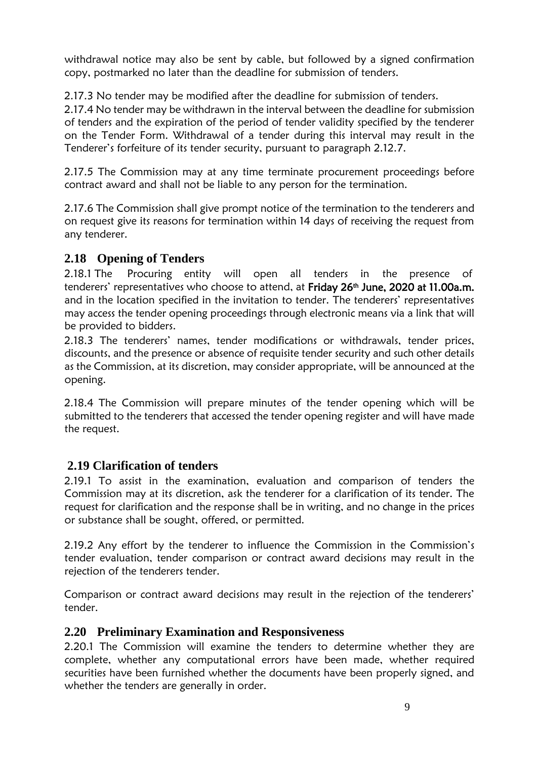withdrawal notice may also be sent by cable, but followed by a signed confirmation copy, postmarked no later than the deadline for submission of tenders.

2.17.3 No tender may be modified after the deadline for submission of tenders.

2.17.4 No tender may be withdrawn in the interval between the deadline for submission of tenders and the expiration of the period of tender validity specified by the tenderer on the Tender Form. Withdrawal of a tender during this interval may result in the Tenderer's forfeiture of its tender security, pursuant to paragraph 2.12.7.

2.17.5 The Commission may at any time terminate procurement proceedings before contract award and shall not be liable to any person for the termination.

2.17.6 The Commission shall give prompt notice of the termination to the tenderers and on request give its reasons for termination within 14 days of receiving the request from any tenderer.

## <span id="page-9-0"></span>**2.18 Opening of Tenders**

2.18.1 The Procuring entity will open all tenders in the presence of tenderers' representatives who choose to attend, at Friday 26<sup>th</sup> June, 2020 at 11.00a.m. and in the location specified in the invitation to tender. The tenderers' representatives may access the tender opening proceedings through electronic means via a link that will be provided to bidders.

2.18.3 The tenderers' names, tender modifications or withdrawals, tender prices, discounts, and the presence or absence of requisite tender security and such other details as the Commission, at its discretion, may consider appropriate, will be announced at the opening.

2.18.4 The Commission will prepare minutes of the tender opening which will be submitted to the tenderers that accessed the tender opening register and will have made the request.

## <span id="page-9-1"></span>**2.19 Clarification of tenders**

2.19.1 To assist in the examination, evaluation and comparison of tenders the Commission may at its discretion, ask the tenderer for a clarification of its tender. The request for clarification and the response shall be in writing, and no change in the prices or substance shall be sought, offered, or permitted.

2.19.2 Any effort by the tenderer to influence the Commission in the Commission's tender evaluation, tender comparison or contract award decisions may result in the rejection of the tenderers tender.

Comparison or contract award decisions may result in the rejection of the tenderers' tender.

#### <span id="page-9-2"></span>**2.20 Preliminary Examination and Responsiveness**

2.20.1 The Commission will examine the tenders to determine whether they are complete, whether any computational errors have been made, whether required securities have been furnished whether the documents have been properly signed, and whether the tenders are generally in order.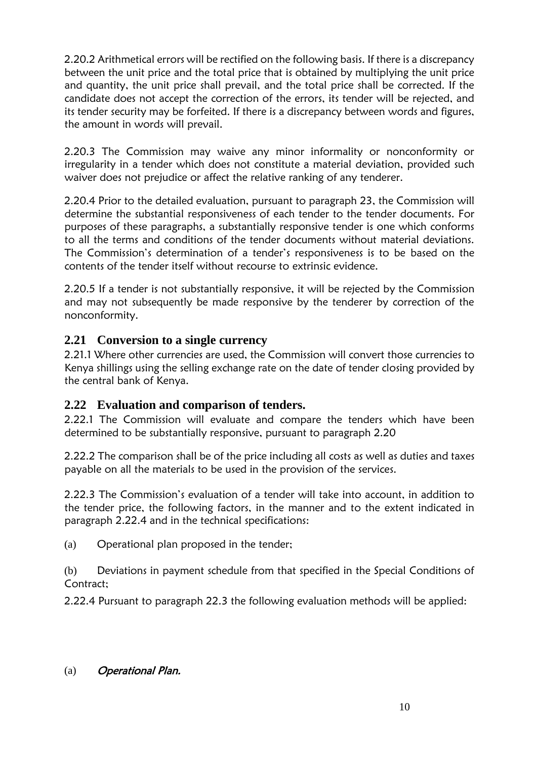2.20.2 Arithmetical errors will be rectified on the following basis. If there is a discrepancy between the unit price and the total price that is obtained by multiplying the unit price and quantity, the unit price shall prevail, and the total price shall be corrected. If the candidate does not accept the correction of the errors, its tender will be rejected, and its tender security may be forfeited. If there is a discrepancy between words and figures, the amount in words will prevail.

2.20.3 The Commission may waive any minor informality or nonconformity or irregularity in a tender which does not constitute a material deviation, provided such waiver does not prejudice or affect the relative ranking of any tenderer.

2.20.4 Prior to the detailed evaluation, pursuant to paragraph 23, the Commission will determine the substantial responsiveness of each tender to the tender documents. For purposes of these paragraphs, a substantially responsive tender is one which conforms to all the terms and conditions of the tender documents without material deviations. The Commission's determination of a tender's responsiveness is to be based on the contents of the tender itself without recourse to extrinsic evidence.

2.20.5 If a tender is not substantially responsive, it will be rejected by the Commission and may not subsequently be made responsive by the tenderer by correction of the nonconformity.

## <span id="page-10-0"></span>**2.21 Conversion to a single currency**

2.21.1 Where other currencies are used, the Commission will convert those currencies to Kenya shillings using the selling exchange rate on the date of tender closing provided by the central bank of Kenya.

#### <span id="page-10-1"></span>**2.22 Evaluation and comparison of tenders.**

2.22.1 The Commission will evaluate and compare the tenders which have been determined to be substantially responsive, pursuant to paragraph 2.20

2.22.2 The comparison shall be of the price including all costs as well as duties and taxes payable on all the materials to be used in the provision of the services.

2.22.3 The Commission's evaluation of a tender will take into account, in addition to the tender price, the following factors, in the manner and to the extent indicated in paragraph 2.22.4 and in the technical specifications:

(a) Operational plan proposed in the tender;

(b) Deviations in payment schedule from that specified in the Special Conditions of Contract;

2.22.4 Pursuant to paragraph 22.3 the following evaluation methods will be applied:

#### (a) Operational Plan.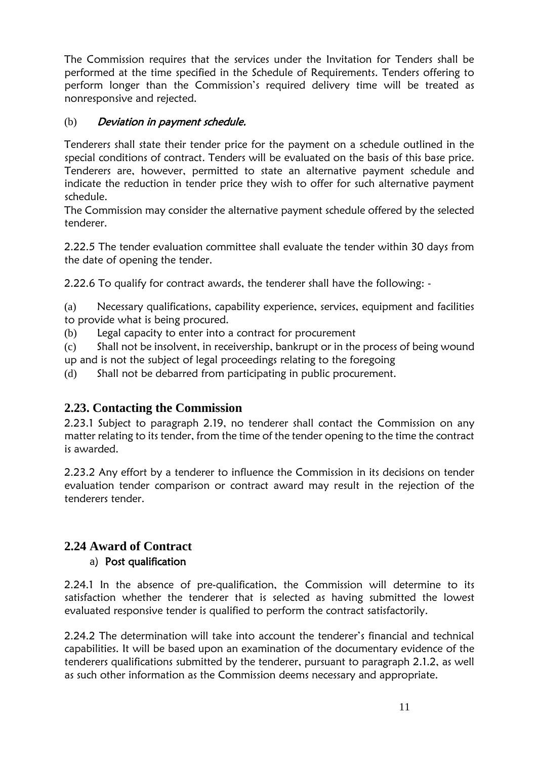The Commission requires that the services under the Invitation for Tenders shall be performed at the time specified in the Schedule of Requirements. Tenders offering to perform longer than the Commission's required delivery time will be treated as nonresponsive and rejected.

#### (b) Deviation in payment schedule.

Tenderers shall state their tender price for the payment on a schedule outlined in the special conditions of contract. Tenders will be evaluated on the basis of this base price. Tenderers are, however, permitted to state an alternative payment schedule and indicate the reduction in tender price they wish to offer for such alternative payment schedule.

The Commission may consider the alternative payment schedule offered by the selected tenderer.

2.22.5 The tender evaluation committee shall evaluate the tender within 30 days from the date of opening the tender.

2.22.6 To qualify for contract awards, the tenderer shall have the following: -

(a) Necessary qualifications, capability experience, services, equipment and facilities to provide what is being procured.

(b) Legal capacity to enter into a contract for procurement

(c) Shall not be insolvent, in receivership, bankrupt or in the process of being wound up and is not the subject of legal proceedings relating to the foregoing

(d) Shall not be debarred from participating in public procurement.

#### <span id="page-11-0"></span>**2.23. Contacting the Commission**

2.23.1 Subject to paragraph 2.19, no tenderer shall contact the Commission on any matter relating to its tender, from the time of the tender opening to the time the contract is awarded.

2.23.2 Any effort by a tenderer to influence the Commission in its decisions on tender evaluation tender comparison or contract award may result in the rejection of the tenderers tender.

#### <span id="page-11-1"></span>**2.24 Award of Contract**  a) Post qualification

2.24.1 In the absence of pre-qualification, the Commission will determine to its satisfaction whether the tenderer that is selected as having submitted the lowest evaluated responsive tender is qualified to perform the contract satisfactorily.

2.24.2 The determination will take into account the tenderer's financial and technical capabilities. It will be based upon an examination of the documentary evidence of the tenderers qualifications submitted by the tenderer, pursuant to paragraph 2.1.2, as well as such other information as the Commission deems necessary and appropriate.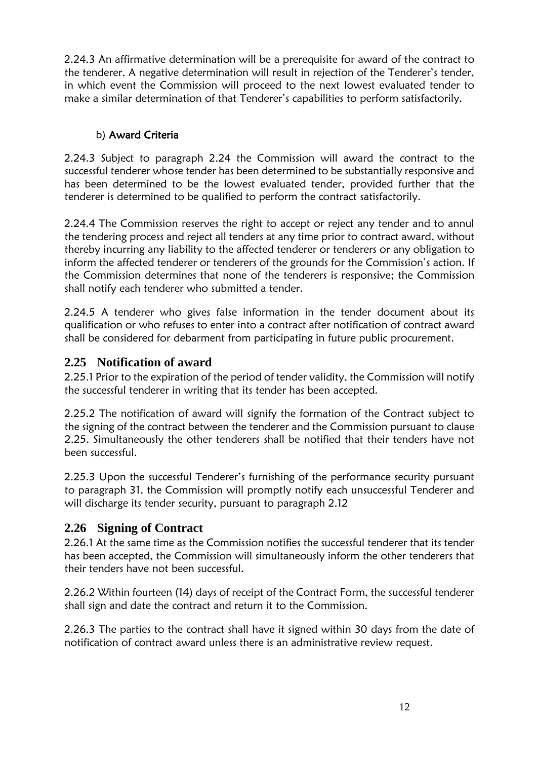2.24.3 An affirmative determination will be a prerequisite for award of the contract to the tenderer. A negative determination will result in rejection of the Tenderer's tender, in which event the Commission will proceed to the next lowest evaluated tender to make a similar determination of that Tenderer's capabilities to perform satisfactorily.

### b) Award Criteria

2.24.3 Subject to paragraph 2.24 the Commission will award the contract to the successful tenderer whose tender has been determined to be substantially responsive and has been determined to be the lowest evaluated tender, provided further that the tenderer is determined to be qualified to perform the contract satisfactorily.

2.24.4 The Commission reserves the right to accept or reject any tender and to annul the tendering process and reject all tenders at any time prior to contract award, without thereby incurring any liability to the affected tenderer or tenderers or any obligation to inform the affected tenderer or tenderers of the grounds for the Commission's action. If the Commission determines that none of the tenderers is responsive; the Commission shall notify each tenderer who submitted a tender.

2.24.5 A tenderer who gives false information in the tender document about its qualification or who refuses to enter into a contract after notification of contract award shall be considered for debarment from participating in future public procurement.

## <span id="page-12-0"></span>**2.25 Notification of award**

2.25.1 Prior to the expiration of the period of tender validity, the Commission will notify the successful tenderer in writing that its tender has been accepted.

2.25.2 The notification of award will signify the formation of the Contract subject to the signing of the contract between the tenderer and the Commission pursuant to clause 2.25. Simultaneously the other tenderers shall be notified that their tenders have not been successful.

2.25.3 Upon the successful Tenderer's furnishing of the performance security pursuant to paragraph 31, the Commission will promptly notify each unsuccessful Tenderer and will discharge its tender security, pursuant to paragraph 2.12

## <span id="page-12-1"></span>**2.26 Signing of Contract**

2.26.1 At the same time as the Commission notifies the successful tenderer that its tender has been accepted, the Commission will simultaneously inform the other tenderers that their tenders have not been successful.

2.26.2 Within fourteen (14) days of receipt of the Contract Form, the successful tenderer shall sign and date the contract and return it to the Commission.

2.26.3 The parties to the contract shall have it signed within 30 days from the date of notification of contract award unless there is an administrative review request.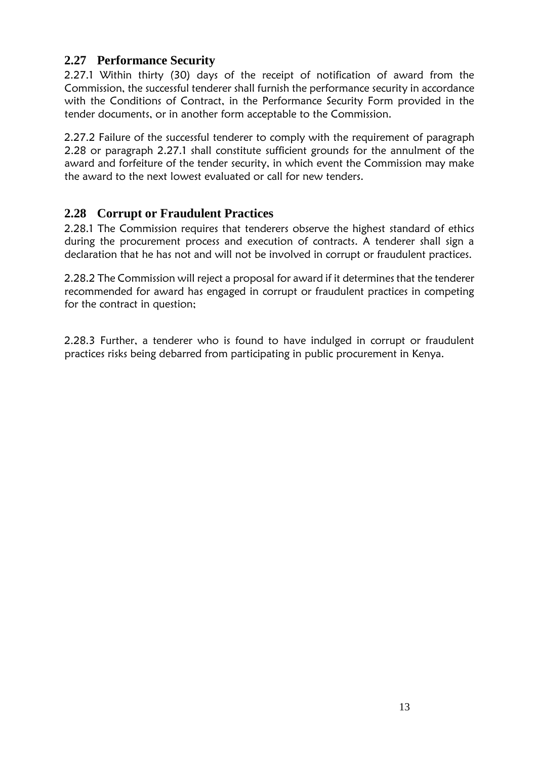## <span id="page-13-0"></span>**2.27 Performance Security**

2.27.1 Within thirty (30) days of the receipt of notification of award from the Commission, the successful tenderer shall furnish the performance security in accordance with the Conditions of Contract, in the Performance Security Form provided in the tender documents, or in another form acceptable to the Commission.

2.27.2 Failure of the successful tenderer to comply with the requirement of paragraph 2.28 or paragraph 2.27.1 shall constitute sufficient grounds for the annulment of the award and forfeiture of the tender security, in which event the Commission may make the award to the next lowest evaluated or call for new tenders.

#### <span id="page-13-1"></span>**2.28 Corrupt or Fraudulent Practices**

2.28.1 The Commission requires that tenderers observe the highest standard of ethics during the procurement process and execution of contracts. A tenderer shall sign a declaration that he has not and will not be involved in corrupt or fraudulent practices.

2.28.2 The Commission will reject a proposal for award if it determines that the tenderer recommended for award has engaged in corrupt or fraudulent practices in competing for the contract in question;

2.28.3 Further, a tenderer who is found to have indulged in corrupt or fraudulent practices risks being debarred from participating in public procurement in Kenya.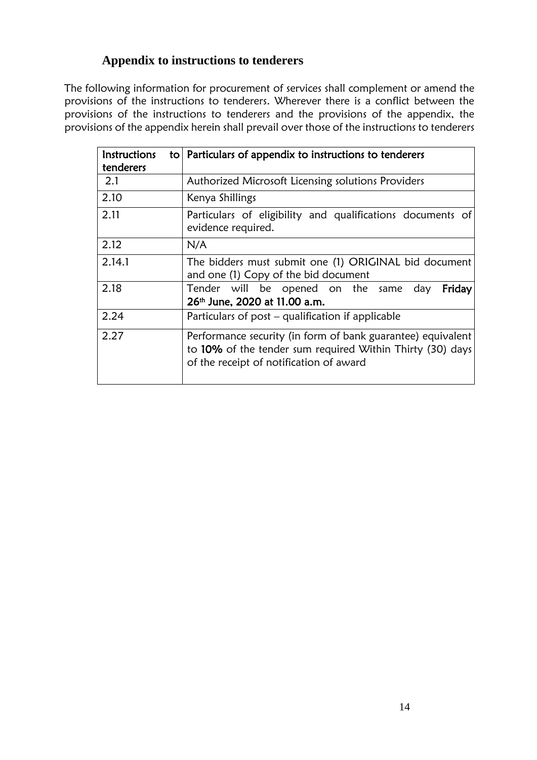## <span id="page-14-0"></span> **Appendix to instructions to tenderers**

The following information for procurement of services shall complement or amend the provisions of the instructions to tenderers. Wherever there is a conflict between the provisions of the instructions to tenderers and the provisions of the appendix, the provisions of the appendix herein shall prevail over those of the instructions to tenderers

| <b>Instructions</b><br>tenderers | to   Particulars of appendix to instructions to tenderers                                                                                                           |
|----------------------------------|---------------------------------------------------------------------------------------------------------------------------------------------------------------------|
| 2.1                              | Authorized Microsoft Licensing solutions Providers                                                                                                                  |
| 2.10                             | Kenya Shillings                                                                                                                                                     |
| 2.11                             | Particulars of eligibility and qualifications documents of<br>evidence required.                                                                                    |
| 2.12                             | N/A                                                                                                                                                                 |
| 2.14.1                           | The bidders must submit one (1) ORIGINAL bid document<br>and one (1) Copy of the bid document                                                                       |
| 2.18                             | Tender will be opened on the same day<br>Friday<br>26th June, 2020 at 11.00 a.m.                                                                                    |
| 2.24                             | Particulars of post – qualification if applicable                                                                                                                   |
| 2.27                             | Performance security (in form of bank guarantee) equivalent<br>to 10% of the tender sum required Within Thirty (30) days<br>of the receipt of notification of award |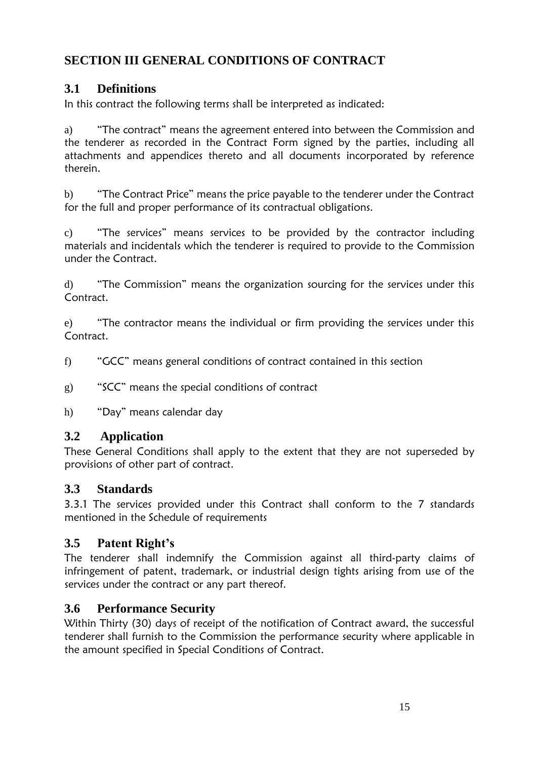## <span id="page-15-0"></span>**SECTION III GENERAL CONDITIONS OF CONTRACT**

## <span id="page-15-1"></span>**3.1 Definitions**

In this contract the following terms shall be interpreted as indicated:

a) "The contract" means the agreement entered into between the Commission and the tenderer as recorded in the Contract Form signed by the parties, including all attachments and appendices thereto and all documents incorporated by reference therein.

b) "The Contract Price" means the price payable to the tenderer under the Contract for the full and proper performance of its contractual obligations.

c) "The services" means services to be provided by the contractor including materials and incidentals which the tenderer is required to provide to the Commission under the Contract.

d) "The Commission" means the organization sourcing for the services under this Contract.

e) "The contractor means the individual or firm providing the services under this Contract.

f) "GCC" means general conditions of contract contained in this section

g) "SCC" means the special conditions of contract

h) "Day" means calendar day

## <span id="page-15-2"></span>**3.2 Application**

These General Conditions shall apply to the extent that they are not superseded by provisions of other part of contract.

## <span id="page-15-3"></span>**3.3 Standards**

3.3.1 The services provided under this Contract shall conform to the 7 standards mentioned in the Schedule of requirements

## <span id="page-15-4"></span>**3.5 Patent Right's**

The tenderer shall indemnify the Commission against all third-party claims of infringement of patent, trademark, or industrial design tights arising from use of the services under the contract or any part thereof.

## <span id="page-15-5"></span>**3.6 Performance Security**

Within Thirty (30) days of receipt of the notification of Contract award, the successful tenderer shall furnish to the Commission the performance security where applicable in the amount specified in Special Conditions of Contract.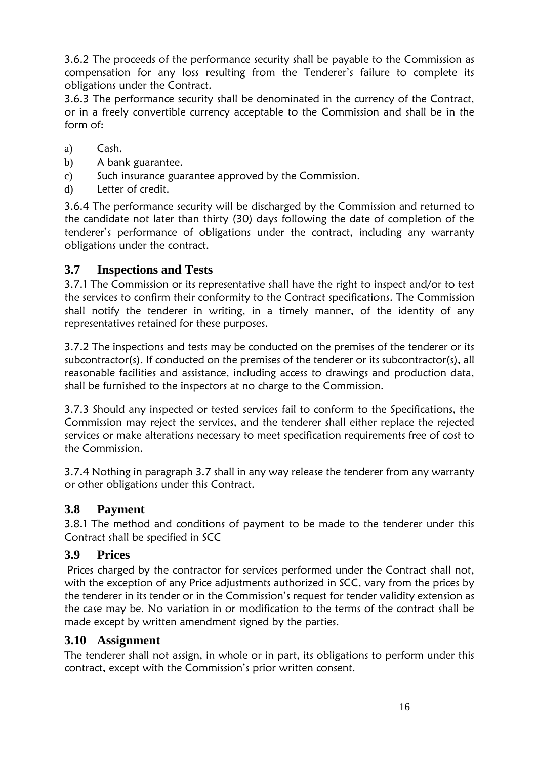3.6.2 The proceeds of the performance security shall be payable to the Commission as compensation for any loss resulting from the Tenderer's failure to complete its obligations under the Contract.

3.6.3 The performance security shall be denominated in the currency of the Contract, or in a freely convertible currency acceptable to the Commission and shall be in the form of:

- a) Cash.
- b) A bank guarantee.
- c) Such insurance guarantee approved by the Commission.
- d) Letter of credit.

3.6.4 The performance security will be discharged by the Commission and returned to the candidate not later than thirty (30) days following the date of completion of the tenderer's performance of obligations under the contract, including any warranty obligations under the contract.

#### <span id="page-16-0"></span>**3.7 Inspections and Tests**

3.7.1 The Commission or its representative shall have the right to inspect and/or to test the services to confirm their conformity to the Contract specifications. The Commission shall notify the tenderer in writing, in a timely manner, of the identity of any representatives retained for these purposes.

3.7.2 The inspections and tests may be conducted on the premises of the tenderer or its subcontractor(s). If conducted on the premises of the tenderer or its subcontractor(s), all reasonable facilities and assistance, including access to drawings and production data, shall be furnished to the inspectors at no charge to the Commission.

3.7.3 Should any inspected or tested services fail to conform to the Specifications, the Commission may reject the services, and the tenderer shall either replace the rejected services or make alterations necessary to meet specification requirements free of cost to the Commission.

3.7.4 Nothing in paragraph 3.7 shall in any way release the tenderer from any warranty or other obligations under this Contract.

#### <span id="page-16-1"></span>**3.8 Payment**

3.8.1 The method and conditions of payment to be made to the tenderer under this Contract shall be specified in SCC

#### <span id="page-16-2"></span>**3.9 Prices**

Prices charged by the contractor for services performed under the Contract shall not, with the exception of any Price adjustments authorized in SCC, vary from the prices by the tenderer in its tender or in the Commission's request for tender validity extension as the case may be. No variation in or modification to the terms of the contract shall be made except by written amendment signed by the parties.

#### <span id="page-16-3"></span>**3.10 Assignment**

The tenderer shall not assign, in whole or in part, its obligations to perform under this contract, except with the Commission's prior written consent.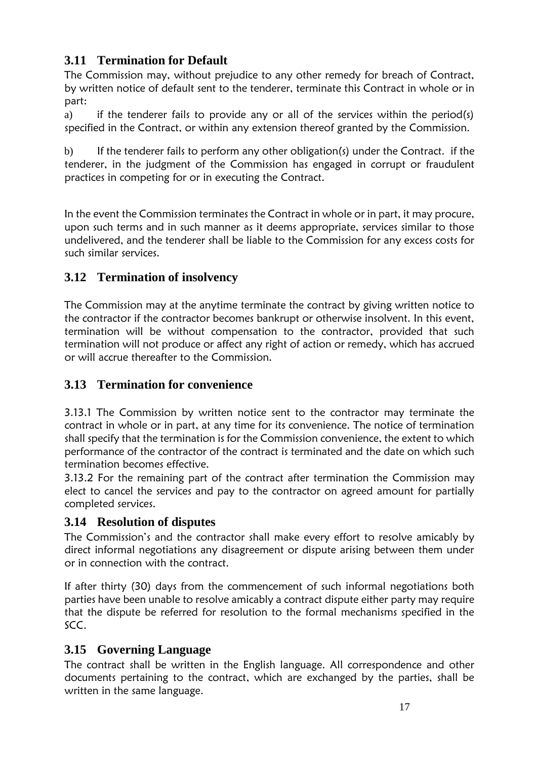## <span id="page-17-0"></span>**3.11 Termination for Default**

The Commission may, without prejudice to any other remedy for breach of Contract, by written notice of default sent to the tenderer, terminate this Contract in whole or in part:

a) if the tenderer fails to provide any or all of the services within the period(s) specified in the Contract, or within any extension thereof granted by the Commission.

b) If the tenderer fails to perform any other obligation(s) under the Contract. if the tenderer, in the judgment of the Commission has engaged in corrupt or fraudulent practices in competing for or in executing the Contract.

In the event the Commission terminates the Contract in whole or in part, it may procure, upon such terms and in such manner as it deems appropriate, services similar to those undelivered, and the tenderer shall be liable to the Commission for any excess costs for such similar services.

## <span id="page-17-1"></span>**3.12 Termination of insolvency**

The Commission may at the anytime terminate the contract by giving written notice to the contractor if the contractor becomes bankrupt or otherwise insolvent. In this event, termination will be without compensation to the contractor, provided that such termination will not produce or affect any right of action or remedy, which has accrued or will accrue thereafter to the Commission.

## <span id="page-17-2"></span>**3.13 Termination for convenience**

3.13.1 The Commission by written notice sent to the contractor may terminate the contract in whole or in part, at any time for its convenience. The notice of termination shall specify that the termination is for the Commission convenience, the extent to which performance of the contractor of the contract is terminated and the date on which such termination becomes effective.

3.13.2 For the remaining part of the contract after termination the Commission may elect to cancel the services and pay to the contractor on agreed amount for partially completed services.

#### <span id="page-17-3"></span>**3.14 Resolution of disputes**

The Commission's and the contractor shall make every effort to resolve amicably by direct informal negotiations any disagreement or dispute arising between them under or in connection with the contract.

If after thirty (30) days from the commencement of such informal negotiations both parties have been unable to resolve amicably a contract dispute either party may require that the dispute be referred for resolution to the formal mechanisms specified in the SCC.

## <span id="page-17-4"></span>**3.15 Governing Language**

The contract shall be written in the English language. All correspondence and other documents pertaining to the contract, which are exchanged by the parties, shall be written in the same language.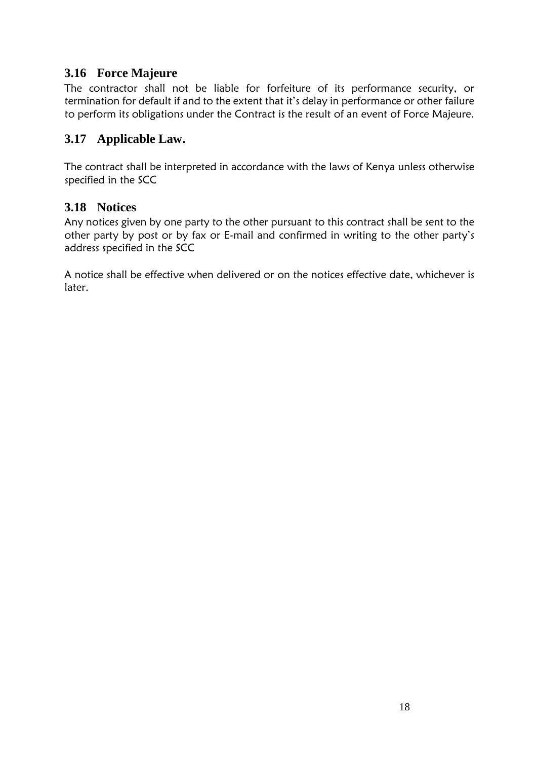## <span id="page-18-0"></span>**3.16 Force Majeure**

The contractor shall not be liable for forfeiture of its performance security, or termination for default if and to the extent that it's delay in performance or other failure to perform its obligations under the Contract is the result of an event of Force Majeure.

## <span id="page-18-1"></span>**3.17 Applicable Law.**

The contract shall be interpreted in accordance with the laws of Kenya unless otherwise specified in the SCC

### <span id="page-18-2"></span>**3.18 Notices**

Any notices given by one party to the other pursuant to this contract shall be sent to the other party by post or by fax or E-mail and confirmed in writing to the other party's address specified in the SCC

<span id="page-18-3"></span>A notice shall be effective when delivered or on the notices effective date, whichever is later.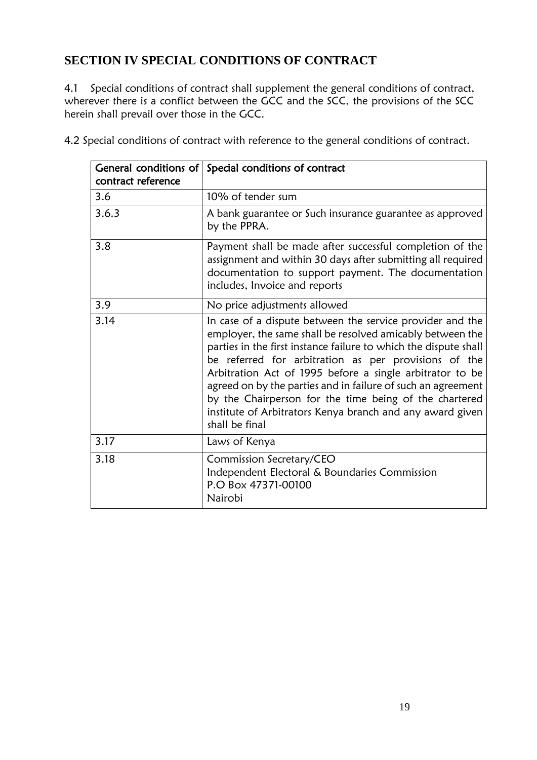## **SECTION IV SPECIAL CONDITIONS OF CONTRACT**

4.1 Special conditions of contract shall supplement the general conditions of contract, wherever there is a conflict between the GCC and the SCC, the provisions of the SCC herein shall prevail over those in the GCC.

| contract reference | General conditions of Special conditions of contract                                                                                                                                                                                                                                                                                                                                                                                                                                                                    |
|--------------------|-------------------------------------------------------------------------------------------------------------------------------------------------------------------------------------------------------------------------------------------------------------------------------------------------------------------------------------------------------------------------------------------------------------------------------------------------------------------------------------------------------------------------|
| 3.6                | 10% of tender sum                                                                                                                                                                                                                                                                                                                                                                                                                                                                                                       |
| 3.6.3              | A bank guarantee or Such insurance guarantee as approved<br>by the PPRA.                                                                                                                                                                                                                                                                                                                                                                                                                                                |
| 3.8                | Payment shall be made after successful completion of the<br>assignment and within 30 days after submitting all required<br>documentation to support payment. The documentation<br>includes, Invoice and reports                                                                                                                                                                                                                                                                                                         |
| 3.9                | No price adjustments allowed                                                                                                                                                                                                                                                                                                                                                                                                                                                                                            |
| 3.14               | In case of a dispute between the service provider and the<br>employer, the same shall be resolved amicably between the<br>parties in the first instance failure to which the dispute shall<br>be referred for arbitration as per provisions of the<br>Arbitration Act of 1995 before a single arbitrator to be<br>agreed on by the parties and in failure of such an agreement<br>by the Chairperson for the time being of the chartered<br>institute of Arbitrators Kenya branch and any award given<br>shall be final |
| 3.17               | Laws of Kenya                                                                                                                                                                                                                                                                                                                                                                                                                                                                                                           |
| 3.18               | Commission Secretary/CEO<br>Independent Electoral & Boundaries Commission<br>P.O Box 47371-00100<br>Nairobi                                                                                                                                                                                                                                                                                                                                                                                                             |

4.2 Special conditions of contract with reference to the general conditions of contract.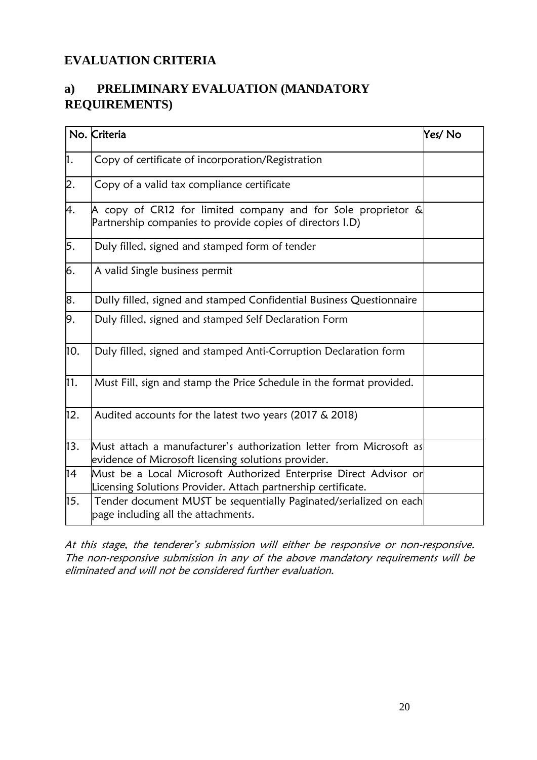## <span id="page-20-0"></span>**EVALUATION CRITERIA**

## <span id="page-20-1"></span>**a) PRELIMINARY EVALUATION (MANDATORY REQUIREMENTS)**

|     | No. Criteria                                                                                                                       | Yes/No |
|-----|------------------------------------------------------------------------------------------------------------------------------------|--------|
| h.  | Copy of certificate of incorporation/Registration                                                                                  |        |
| 2.  | Copy of a valid tax compliance certificate                                                                                         |        |
| 4.  | A copy of CR12 for limited company and for Sole proprietor $\&$<br>Partnership companies to provide copies of directors I.D)       |        |
| 5.  | Duly filled, signed and stamped form of tender                                                                                     |        |
| 6.  | A valid Single business permit                                                                                                     |        |
| 8.  | Dully filled, signed and stamped Confidential Business Questionnaire                                                               |        |
| 9.  | Duly filled, signed and stamped Self Declaration Form                                                                              |        |
| 10. | Duly filled, signed and stamped Anti-Corruption Declaration form                                                                   |        |
| 11. | Must Fill, sign and stamp the Price Schedule in the format provided.                                                               |        |
| 12. | Audited accounts for the latest two years (2017 & 2018)                                                                            |        |
| 13. | Must attach a manufacturer's authorization letter from Microsoft as<br>evidence of Microsoft licensing solutions provider.         |        |
| 14  | Must be a Local Microsoft Authorized Enterprise Direct Advisor or<br>Licensing Solutions Provider. Attach partnership certificate. |        |
| 15. | Tender document MUST be sequentially Paginated/serialized on each<br>page including all the attachments.                           |        |

At this stage, the tenderer's submission will either be responsive or non-responsive. The non-responsive submission in any of the above mandatory requirements will be eliminated and will not be considered further evaluation.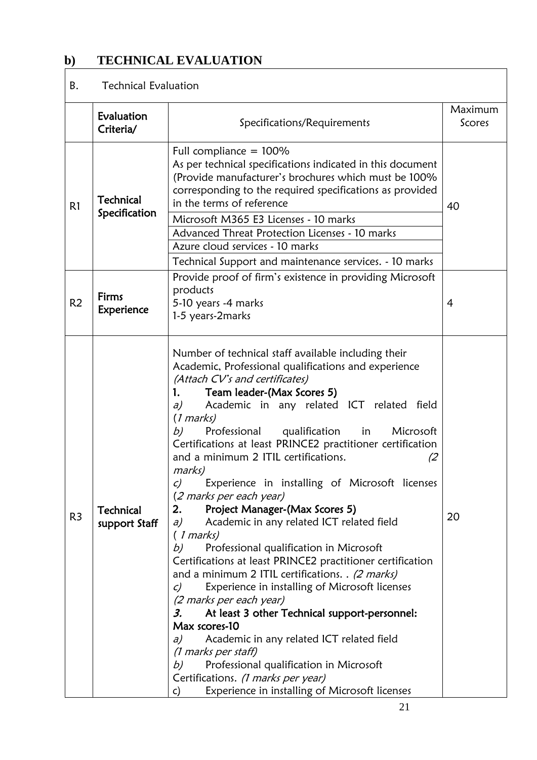## <span id="page-21-0"></span>**b) TECHNICAL EVALUATION**

## B. Technical Evaluation

|                | Evaluation<br>Criteria/           | Specifications/Requirements                                                                                                                                                                                                                                                                                                                                                                                                                                                                                                                                                                                                                                                                                                                                                                                                                                                                                                                                                                                                                                                                                                                                                                 | Maximum<br>Scores |
|----------------|-----------------------------------|---------------------------------------------------------------------------------------------------------------------------------------------------------------------------------------------------------------------------------------------------------------------------------------------------------------------------------------------------------------------------------------------------------------------------------------------------------------------------------------------------------------------------------------------------------------------------------------------------------------------------------------------------------------------------------------------------------------------------------------------------------------------------------------------------------------------------------------------------------------------------------------------------------------------------------------------------------------------------------------------------------------------------------------------------------------------------------------------------------------------------------------------------------------------------------------------|-------------------|
| R1             | <b>Technical</b><br>Specification | 40                                                                                                                                                                                                                                                                                                                                                                                                                                                                                                                                                                                                                                                                                                                                                                                                                                                                                                                                                                                                                                                                                                                                                                                          |                   |
|                |                                   | Technical Support and maintenance services. - 10 marks                                                                                                                                                                                                                                                                                                                                                                                                                                                                                                                                                                                                                                                                                                                                                                                                                                                                                                                                                                                                                                                                                                                                      |                   |
| R <sub>2</sub> | Firms<br><b>Experience</b>        | Provide proof of firm's existence in providing Microsoft<br>products<br>5-10 years -4 marks<br>1-5 years-2marks                                                                                                                                                                                                                                                                                                                                                                                                                                                                                                                                                                                                                                                                                                                                                                                                                                                                                                                                                                                                                                                                             | 4                 |
| R <sub>3</sub> | Technical<br>support Staff        | Number of technical staff available including their<br>Academic, Professional qualifications and experience<br>(Attach CV's and certificates)<br>Team leader-(Max Scores 5)<br>1.<br>Academic in any related ICT related field<br>a)<br>$(1$ marks)<br>Professional qualification in<br>b)<br>Microsoft<br>Certifications at least PRINCE2 practitioner certification<br>and a minimum 2 ITIL certifications.<br>(2)<br>marks)<br>Experience in installing of Microsoft licenses<br>C)<br>(2 marks per each year)<br>2.<br>Project Manager-(Max Scores 5)<br>Academic in any related ICT related field<br>a)<br>(1 marks)<br>Professional qualification in Microsoft<br>b)<br>Certifications at least PRINCE2 practitioner certification<br>and a minimum 2 ITIL certifications. . (2 marks)<br>Experience in installing of Microsoft licenses<br>$\mathcal{C}$<br>(2 marks per each year)<br>At least 3 other Technical support-personnel:<br>3.<br>Max scores-10<br>Academic in any related ICT related field<br>a)<br>(1 marks per staff)<br>Professional qualification in Microsoft<br>b)<br>Certifications. (1 marks per year)<br>Experience in installing of Microsoft licenses<br>c) | 20                |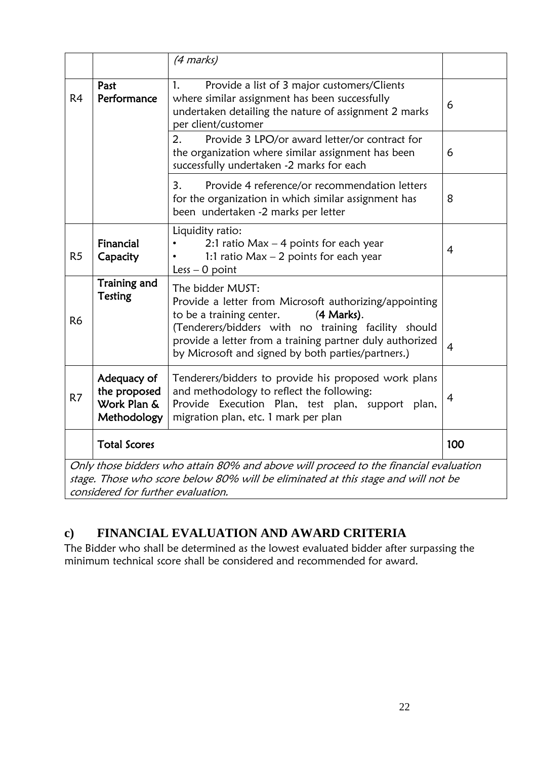|                |                                                           | (4 marks)                                                                                                                                                                                                                                                                                     |                |
|----------------|-----------------------------------------------------------|-----------------------------------------------------------------------------------------------------------------------------------------------------------------------------------------------------------------------------------------------------------------------------------------------|----------------|
| R <sub>4</sub> | Past<br>Performance                                       | Provide a list of 3 major customers/Clients<br>1.<br>where similar assignment has been successfully<br>undertaken detailing the nature of assignment 2 marks<br>per client/customer                                                                                                           | 6              |
|                |                                                           | 2.<br>Provide 3 LPO/or award letter/or contract for<br>the organization where similar assignment has been<br>successfully undertaken -2 marks for each                                                                                                                                        | 6              |
|                |                                                           | 3.<br>Provide 4 reference/or recommendation letters<br>for the organization in which similar assignment has<br>been undertaken -2 marks per letter                                                                                                                                            | 8              |
| R <sub>5</sub> | Financial<br>Capacity                                     | Liquidity ratio:<br>2:1 ratio $Max - 4$ points for each year<br>1:1 ratio $Max - 2$ points for each year<br>Less $-$ 0 point                                                                                                                                                                  | 4              |
| R <sub>6</sub> | <b>Training and</b><br><b>Testing</b>                     | The bidder MUST:<br>Provide a letter from Microsoft authorizing/appointing<br>to be a training center.<br>(4 Marks).<br>(Tenderers/bidders with no training facility should<br>provide a letter from a training partner duly authorized<br>by Microsoft and signed by both parties/partners.) | $\overline{4}$ |
| R7             | Adequacy of<br>the proposed<br>Work Plan &<br>Methodology | Tenderers/bidders to provide his proposed work plans<br>and methodology to reflect the following:<br>Provide Execution Plan, test plan, support plan,<br>migration plan, etc. 1 mark per plan                                                                                                 | 4              |
|                | <b>Total Scores</b>                                       |                                                                                                                                                                                                                                                                                               | 100            |
|                | considered for further evaluation.                        | Only those bidders who attain 80% and above will proceed to the financial evaluation<br>stage. Those who score below 80% will be eliminated at this stage and will not be                                                                                                                     |                |

## <span id="page-22-0"></span>**c) FINANCIAL EVALUATION AND AWARD CRITERIA**

The Bidder who shall be determined as the lowest evaluated bidder after surpassing the minimum technical score shall be considered and recommended for award.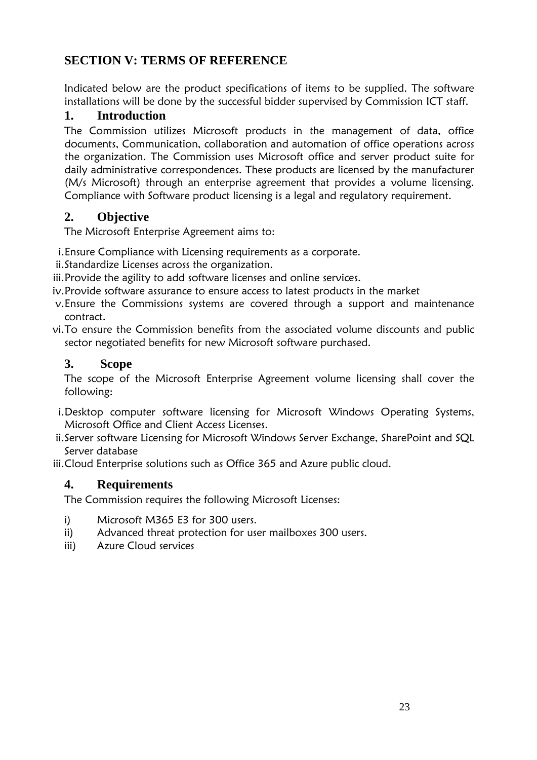## <span id="page-23-0"></span>**SECTION V: TERMS OF REFERENCE**

Indicated below are the product specifications of items to be supplied. The software installations will be done by the successful bidder supervised by Commission ICT staff.

### <span id="page-23-1"></span>**1. Introduction**

The Commission utilizes Microsoft products in the management of data, office documents, Communication, collaboration and automation of office operations across the organization. The Commission uses Microsoft [office and server product suite](https://en.wikipedia.org/wiki/Office_suite) for daily administrative correspondences. These products are licensed by the manufacturer (M/s Microsoft) through an enterprise agreement that provides a volume licensing. Compliance with Software product licensing is a legal and regulatory requirement.

## <span id="page-23-2"></span>**2. Objective**

The Microsoft Enterprise Agreement aims to:

- i.Ensure Compliance with Licensing requirements as a corporate.
- ii.Standardize Licenses across the organization.
- iii.Provide the agility to add software licenses and online services.
- iv.Provide software assurance to ensure access to latest products in the market
- v.Ensure the Commissions systems are covered through a support and maintenance contract.
- vi.To ensure the Commission benefits from the associated volume discounts and public sector negotiated benefits for new Microsoft software purchased.

### <span id="page-23-3"></span>**3. Scope**

The scope of the Microsoft Enterprise Agreement volume licensing shall cover the following:

- i.Desktop computer software licensing for Microsoft Windows Operating Systems, Microsoft Office and Client Access Licenses.
- ii.Server software Licensing for Microsoft Windows Server Exchange, SharePoint and SQL Server database

iii.Cloud Enterprise solutions such as Office 365 and Azure public cloud.

## <span id="page-23-4"></span>**4. Requirements**

The Commission requires the following Microsoft Licenses:

- i) Microsoft M365 E3 for 300 users.
- ii) Advanced threat protection for user mailboxes 300 users.
- iii) Azure Cloud services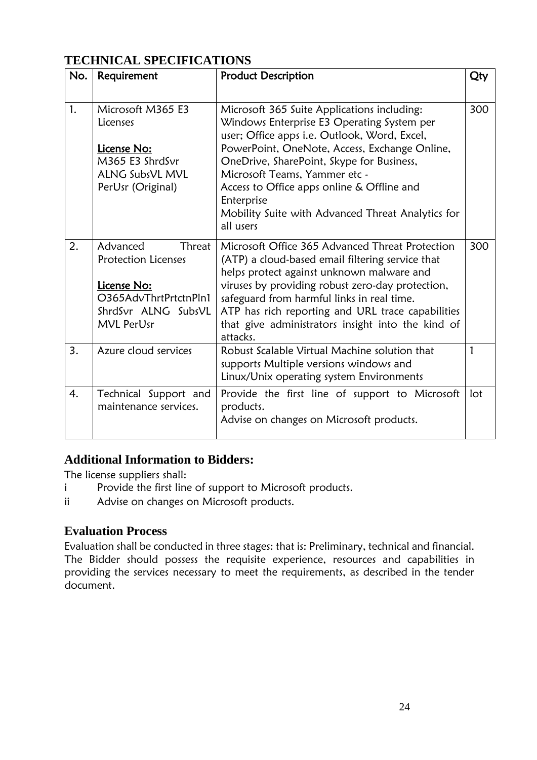## <span id="page-24-0"></span>**TECHNICAL SPECIFICATIONS**

| No. | Requirement                                                                                                                          | <b>Product Description</b>                                                                                                                                                                                                                                                                                                                                                                             | Qty |
|-----|--------------------------------------------------------------------------------------------------------------------------------------|--------------------------------------------------------------------------------------------------------------------------------------------------------------------------------------------------------------------------------------------------------------------------------------------------------------------------------------------------------------------------------------------------------|-----|
| 1.  | Microsoft M365 E3<br>Licenses<br>License No:<br>M365 E3 ShrdSvr<br><b>ALNG SubsVL MVL</b><br>PerUsr (Original)                       | Microsoft 365 Suite Applications including:<br>Windows Enterprise E3 Operating System per<br>user; Office apps i.e. Outlook, Word, Excel,<br>PowerPoint, OneNote, Access, Exchange Online,<br>OneDrive, SharePoint, Skype for Business,<br>Microsoft Teams, Yammer etc -<br>Access to Office apps online & Offline and<br>Enterprise<br>Mobility Suite with Advanced Threat Analytics for<br>all users | 300 |
| 2.  | Advanced<br>Threat<br><b>Protection Licenses</b><br>License No:<br>O365AdvThrtPrtctnPln1<br>ShrdSvr ALNG SubsVL<br><b>MVL PerUsr</b> | Microsoft Office 365 Advanced Threat Protection<br>(ATP) a cloud-based email filtering service that<br>helps protect against unknown malware and<br>viruses by providing robust zero-day protection,<br>safeguard from harmful links in real time.<br>ATP has rich reporting and URL trace capabilities<br>that give administrators insight into the kind of<br>attacks.                               | 300 |
| 3.  | Azure cloud services                                                                                                                 | Robust Scalable Virtual Machine solution that<br>supports Multiple versions windows and<br>Linux/Unix operating system Environments                                                                                                                                                                                                                                                                    | 1   |
| 4.  | Technical Support and<br>maintenance services.                                                                                       | Provide the first line of support to Microsoft<br>products.<br>Advise on changes on Microsoft products.                                                                                                                                                                                                                                                                                                | lot |

#### <span id="page-24-1"></span>**Additional Information to Bidders:**

The license suppliers shall:

- i Provide the first line of support to Microsoft products.
- ii Advise on changes on Microsoft products.

#### <span id="page-24-2"></span>**Evaluation Process**

Evaluation shall be conducted in three stages: that is: Preliminary, technical and financial. The Bidder should possess the requisite experience, resources and capabilities in providing the services necessary to meet the requirements, as described in the tender document.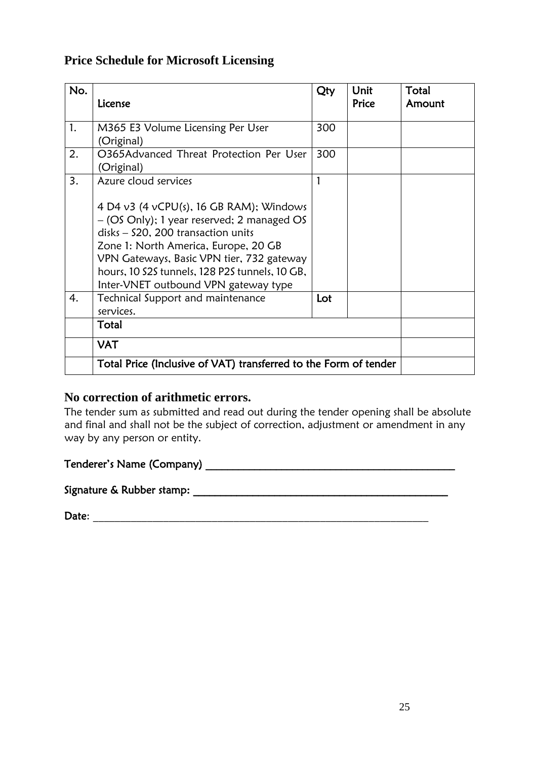## <span id="page-25-0"></span>**Price Schedule for Microsoft Licensing**

| No. | License                                                                                                                                                                                                                                                                                                                             | Qty | Unit<br>Price | Total<br>Amount |
|-----|-------------------------------------------------------------------------------------------------------------------------------------------------------------------------------------------------------------------------------------------------------------------------------------------------------------------------------------|-----|---------------|-----------------|
| 1.  | M365 E3 Volume Licensing Per User<br>(Original)                                                                                                                                                                                                                                                                                     | 300 |               |                 |
| 2.  | O365Advanced Threat Protection Per User<br>(Original)                                                                                                                                                                                                                                                                               | 300 |               |                 |
| 3.  | Azure cloud services<br>4 D4 v3 (4 vCPU(s), 16 GB RAM); Windows<br>- (OS Only); 1 year reserved; 2 managed OS<br>disks - \$20, 200 transaction units<br>Zone 1: North America, Europe, 20 GB<br>VPN Gateways, Basic VPN tier, 732 gateway<br>hours, 10 S2S tunnels, 128 P2S tunnels, 10 GB,<br>Inter-VNET outbound VPN gateway type | 1   |               |                 |
| 4.  | Technical Support and maintenance<br>services.                                                                                                                                                                                                                                                                                      | Lot |               |                 |
|     | Total                                                                                                                                                                                                                                                                                                                               |     |               |                 |
|     | <b>VAT</b>                                                                                                                                                                                                                                                                                                                          |     |               |                 |
|     | Total Price (Inclusive of VAT) transferred to the Form of tender                                                                                                                                                                                                                                                                    |     |               |                 |

#### **No correction of arithmetic errors.**

The tender sum as submitted and read out during the tender opening shall be absolute and final and shall not be the subject of correction, adjustment or amendment in any way by any person or entity.

### Tenderer's Name (Company) and the state of the state of the state of the state of the state of the state of the state of the state of the state of the state of the state of the state of the state of the state of the state

Signature & Rubber stamp: \_\_\_\_\_\_\_\_\_\_\_\_\_\_\_\_\_\_\_\_\_\_\_\_\_\_\_\_\_\_\_\_\_\_\_\_\_\_\_\_\_\_\_\_\_\_\_

Date: \_\_\_\_\_\_\_\_\_\_\_\_\_\_\_\_\_\_\_\_\_\_\_\_\_\_\_\_\_\_\_\_\_\_\_\_\_\_\_\_\_\_\_\_\_\_\_\_\_\_\_\_\_\_\_\_\_\_\_\_\_\_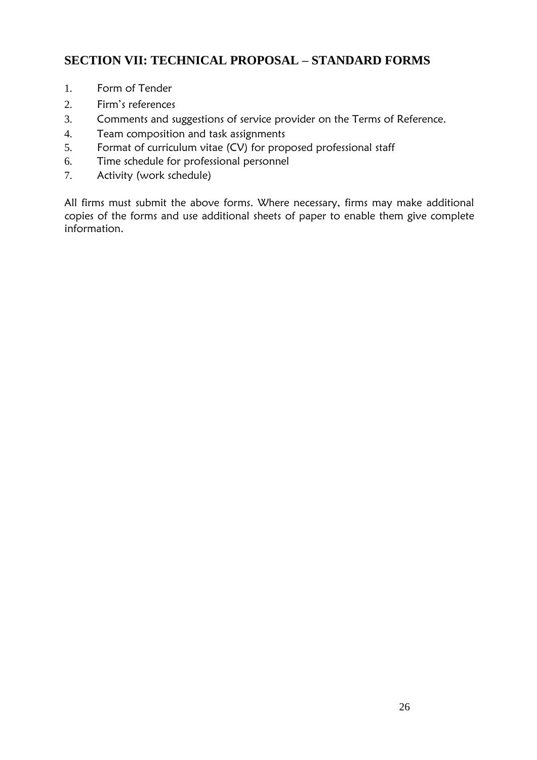## <span id="page-26-0"></span>**SECTION VII: TECHNICAL PROPOSAL – STANDARD FORMS**

- 1. Form of Tender
- 2. Firm's references
- 3. Comments and suggestions of service provider on the Terms of Reference.
- 4. Team composition and task assignments
- 5. Format of curriculum vitae (CV) for proposed professional staff
- 6. Time schedule for professional personnel
- 7. Activity (work schedule)

All firms must submit the above forms. Where necessary, firms may make additional copies of the forms and use additional sheets of paper to enable them give complete information.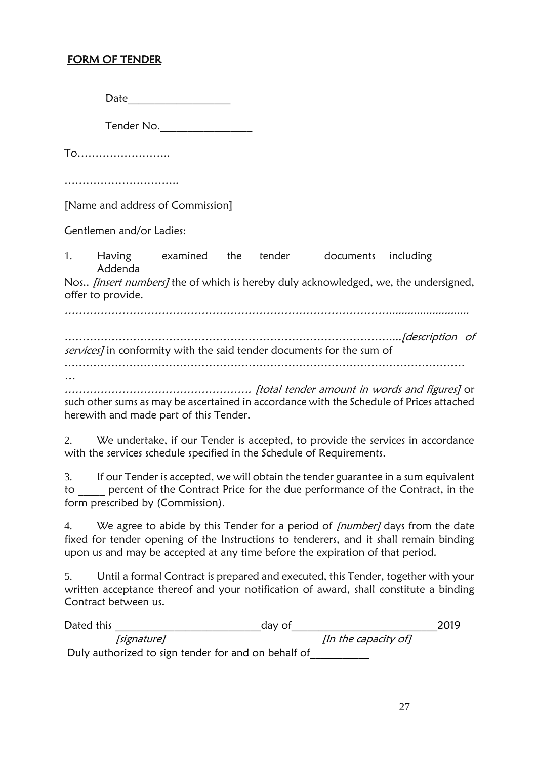### FORM OF TENDER

Date\_\_\_\_\_\_\_\_\_\_\_\_\_\_\_\_\_\_\_

Tender No.\_\_\_\_\_\_\_\_\_\_\_\_\_\_\_\_\_

To……………………..

…………………………………

[Name and address of Commission]

Gentlemen and/or Ladies:

1. Having examined the tender documents including Addenda Nos.. *[insert numbers]* the of which is hereby duly acknowledged, we, the undersigned, offer to provide. ………………………………………………………………………………..........................

………………………………………………………………………………....[description of services] in conformity with the said tender documents for the sum of …………………………………………………………………………………………………

… ……………………………………………. [total tender amount in words and figures] or

such other sums as may be ascertained in accordance with the Schedule of Prices attached herewith and made part of this Tender.

2. We undertake, if our Tender is accepted, to provide the services in accordance with the services schedule specified in the Schedule of Requirements.

3. If our Tender is accepted, we will obtain the tender guarantee in a sum equivalent to percent of the Contract Price for the due performance of the Contract, in the form prescribed by (Commission).

4. We agree to abide by this Tender for a period of *[number]* days from the date fixed for tender opening of the Instructions to tenderers, and it shall remain binding upon us and may be accepted at any time before the expiration of that period.

5. Until a formal Contract is prepared and executed, this Tender, together with your written acceptance thereof and your notification of award, shall constitute a binding Contract between us.

| Dated this |                                                     | day of               | 2019 |
|------------|-----------------------------------------------------|----------------------|------|
|            | [signature]                                         | [In the capacity of] |      |
|            | Duly authorized to sign tender for and on behalf of |                      |      |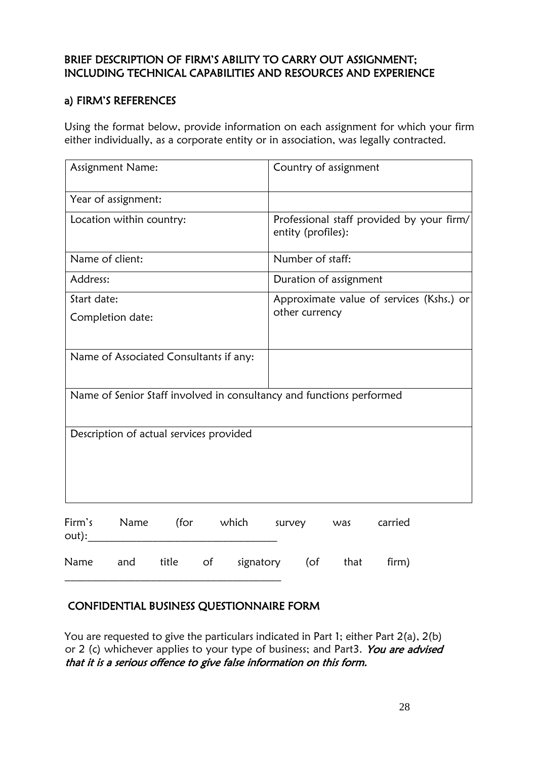#### BRIEF DESCRIPTION OF FIRM'S ABILITY TO CARRY OUT ASSIGNMENT; INCLUDING TECHNICAL CAPABILITIES AND RESOURCES AND EXPERIENCE

#### a) FIRM'S REFERENCES

Using the format below, provide information on each assignment for which your firm either individually, as a corporate entity or in association, was legally contracted.

| Assignment Name: |                                         |       |                                                                      | Country of assignment                                           |      |         |                                          |
|------------------|-----------------------------------------|-------|----------------------------------------------------------------------|-----------------------------------------------------------------|------|---------|------------------------------------------|
|                  | Year of assignment:                     |       |                                                                      |                                                                 |      |         |                                          |
|                  | Location within country:                |       |                                                                      | Professional staff provided by your firm/<br>entity (profiles): |      |         |                                          |
|                  | Name of client:                         |       |                                                                      | Number of staff:                                                |      |         |                                          |
| Address:         |                                         |       |                                                                      | Duration of assignment                                          |      |         |                                          |
| Start date:      |                                         |       |                                                                      |                                                                 |      |         | Approximate value of services (Kshs.) or |
| Completion date: |                                         |       | other currency                                                       |                                                                 |      |         |                                          |
|                  | Name of Associated Consultants if any:  |       |                                                                      |                                                                 |      |         |                                          |
|                  |                                         |       | Name of Senior Staff involved in consultancy and functions performed |                                                                 |      |         |                                          |
|                  | Description of actual services provided |       |                                                                      |                                                                 |      |         |                                          |
| Firm's<br>out):  | Name                                    | (for  | which                                                                | survey                                                          | was  | carried |                                          |
| Name             | and                                     | title | of<br>signatory                                                      | (of                                                             | that | firm)   |                                          |

#### CONFIDENTIAL BUSINESS QUESTIONNAIRE FORM

\_\_\_\_\_\_\_\_\_\_\_\_\_\_\_\_\_\_\_\_\_\_\_\_\_\_\_\_\_\_\_\_\_\_\_\_\_\_\_\_

You are requested to give the particulars indicated in Part 1; either Part 2(a), 2(b) or 2 (c) whichever applies to your type of business; and Part3. You are advised that it is a serious offence to give false information on this form.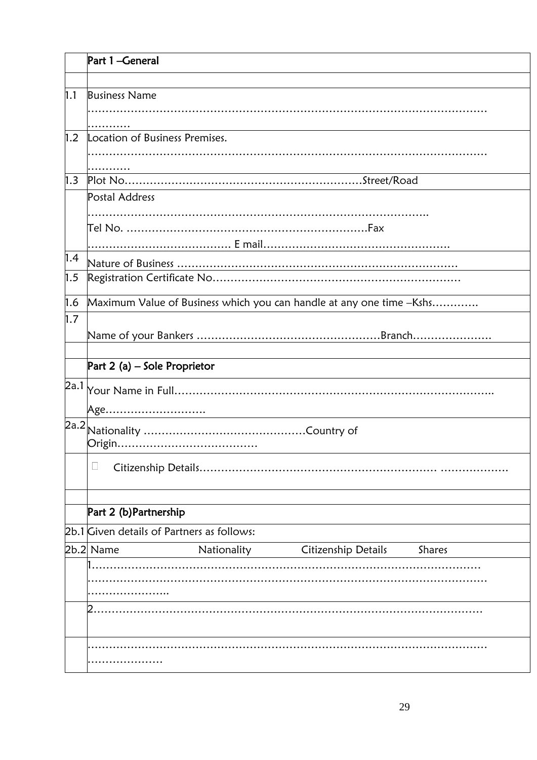|     | Part 1-General                                                                                                         |  |  |  |  |  |
|-----|------------------------------------------------------------------------------------------------------------------------|--|--|--|--|--|
|     |                                                                                                                        |  |  |  |  |  |
| 1.1 | <b>Business Name</b>                                                                                                   |  |  |  |  |  |
|     |                                                                                                                        |  |  |  |  |  |
|     |                                                                                                                        |  |  |  |  |  |
| 1.2 | Location of Business Premises.                                                                                         |  |  |  |  |  |
|     |                                                                                                                        |  |  |  |  |  |
| 1.3 | <u> 1989 - Johann Stoff, deutscher Stoffen und der Stoffen und der Stoffen und der Stoffen und der Stoffen und der</u> |  |  |  |  |  |
|     |                                                                                                                        |  |  |  |  |  |
|     | Postal Address                                                                                                         |  |  |  |  |  |
|     |                                                                                                                        |  |  |  |  |  |
|     |                                                                                                                        |  |  |  |  |  |
|     |                                                                                                                        |  |  |  |  |  |
| 1.4 |                                                                                                                        |  |  |  |  |  |
| 1.5 |                                                                                                                        |  |  |  |  |  |
| 1.6 | Maximum Value of Business which you can handle at any one time -Kshs                                                   |  |  |  |  |  |
| 1.7 |                                                                                                                        |  |  |  |  |  |
|     |                                                                                                                        |  |  |  |  |  |
|     |                                                                                                                        |  |  |  |  |  |
|     | Part 2 (a) $-$ Sole Proprietor                                                                                         |  |  |  |  |  |
|     |                                                                                                                        |  |  |  |  |  |
|     | Age <u></u>                                                                                                            |  |  |  |  |  |
|     |                                                                                                                        |  |  |  |  |  |
|     |                                                                                                                        |  |  |  |  |  |
|     |                                                                                                                        |  |  |  |  |  |
|     | ∟                                                                                                                      |  |  |  |  |  |
|     |                                                                                                                        |  |  |  |  |  |
|     | Part 2 (b) Partnership                                                                                                 |  |  |  |  |  |
|     | 2b.1 Given details of Partners as follows:                                                                             |  |  |  |  |  |
|     | 2b.2 Name<br>Shares                                                                                                    |  |  |  |  |  |
|     | Nationality<br>Citizenship Details                                                                                     |  |  |  |  |  |
|     |                                                                                                                        |  |  |  |  |  |
|     |                                                                                                                        |  |  |  |  |  |
|     |                                                                                                                        |  |  |  |  |  |
|     |                                                                                                                        |  |  |  |  |  |
|     |                                                                                                                        |  |  |  |  |  |
|     |                                                                                                                        |  |  |  |  |  |
|     |                                                                                                                        |  |  |  |  |  |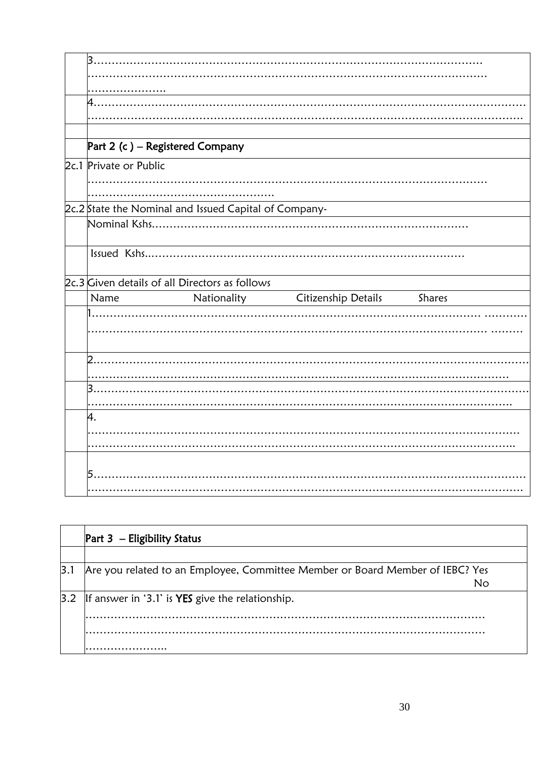| 3                                                     |   |                                        |  |
|-------------------------------------------------------|---|----------------------------------------|--|
|                                                       |   |                                        |  |
|                                                       |   |                                        |  |
| 4                                                     |   |                                        |  |
|                                                       |   |                                        |  |
|                                                       |   |                                        |  |
| Part 2 (c) - Registered Company                       |   |                                        |  |
| 2c.1 Private or Public                                |   |                                        |  |
|                                                       |   |                                        |  |
|                                                       |   |                                        |  |
| 2c.2 State the Nominal and Issued Capital of Company- |   |                                        |  |
|                                                       |   |                                        |  |
|                                                       |   |                                        |  |
|                                                       |   |                                        |  |
| 2c.3 Given details of all Directors as follows        |   |                                        |  |
| Name                                                  |   | Nationality Citizenship Details Shares |  |
|                                                       |   |                                        |  |
|                                                       |   |                                        |  |
|                                                       |   |                                        |  |
| $\overline{2}$                                        |   |                                        |  |
|                                                       |   |                                        |  |
| 3.                                                    |   |                                        |  |
|                                                       |   |                                        |  |
| 4.                                                    |   |                                        |  |
|                                                       |   |                                        |  |
|                                                       |   |                                        |  |
|                                                       |   |                                        |  |
|                                                       |   |                                        |  |
|                                                       | . |                                        |  |

|     | <b>Part 3</b> - Eligibility Status                                                  |
|-----|-------------------------------------------------------------------------------------|
|     |                                                                                     |
| 3.1 | Are you related to an Employee, Committee Member or Board Member of IEBC? Yes<br>No |
|     | $ 3.2 $  If answer in '3.1' is YES give the relationship.                           |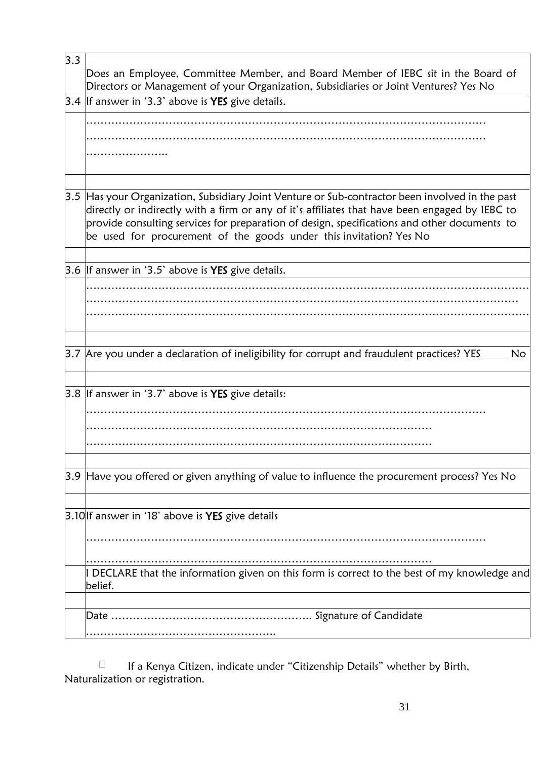| 3.3 | Does an Employee, Committee Member, and Board Member of IEBC sit in the Board of<br>Directors or Management of your Organization, Subsidiaries or Joint Ventures? Yes No                                                                                                                                                                                                |
|-----|-------------------------------------------------------------------------------------------------------------------------------------------------------------------------------------------------------------------------------------------------------------------------------------------------------------------------------------------------------------------------|
|     | $3.4$  If answer in '3.3' above is <b>YES</b> give details.                                                                                                                                                                                                                                                                                                             |
|     |                                                                                                                                                                                                                                                                                                                                                                         |
|     |                                                                                                                                                                                                                                                                                                                                                                         |
|     |                                                                                                                                                                                                                                                                                                                                                                         |
|     |                                                                                                                                                                                                                                                                                                                                                                         |
|     | 3.5 Has your Organization, Subsidiary Joint Venture or Sub-contractor been involved in the past<br>directly or indirectly with a firm or any of it's affiliates that have been engaged by IEBC to<br>provide consulting services for preparation of design, specifications and other documents to<br>be used for procurement of the goods under this invitation? Yes No |
|     | 3.6 If answer in '3.5' above is <b>YES</b> give details.                                                                                                                                                                                                                                                                                                                |
|     |                                                                                                                                                                                                                                                                                                                                                                         |
|     |                                                                                                                                                                                                                                                                                                                                                                         |
|     |                                                                                                                                                                                                                                                                                                                                                                         |
|     |                                                                                                                                                                                                                                                                                                                                                                         |
|     | 3.7 Are you under a declaration of ineligibility for corrupt and fraudulent practices? $YES$ $\sim$ No                                                                                                                                                                                                                                                                  |
|     |                                                                                                                                                                                                                                                                                                                                                                         |
|     | 3.8 If answer in '3.7' above is <b>YES</b> give details:                                                                                                                                                                                                                                                                                                                |
|     |                                                                                                                                                                                                                                                                                                                                                                         |
|     |                                                                                                                                                                                                                                                                                                                                                                         |
|     |                                                                                                                                                                                                                                                                                                                                                                         |
|     | 3.9 Have you offered or given anything of value to influence the procurement process? Yes No                                                                                                                                                                                                                                                                            |
|     | $3.10$  If answer in '18' above is YES give details                                                                                                                                                                                                                                                                                                                     |
|     |                                                                                                                                                                                                                                                                                                                                                                         |
|     | I DECLARE that the information given on this form is correct to the best of my knowledge and<br>belief.                                                                                                                                                                                                                                                                 |
|     |                                                                                                                                                                                                                                                                                                                                                                         |
|     |                                                                                                                                                                                                                                                                                                                                                                         |
|     |                                                                                                                                                                                                                                                                                                                                                                         |

 If a Kenya Citizen, indicate under "Citizenship Details" whether by Birth, Naturalization or registration.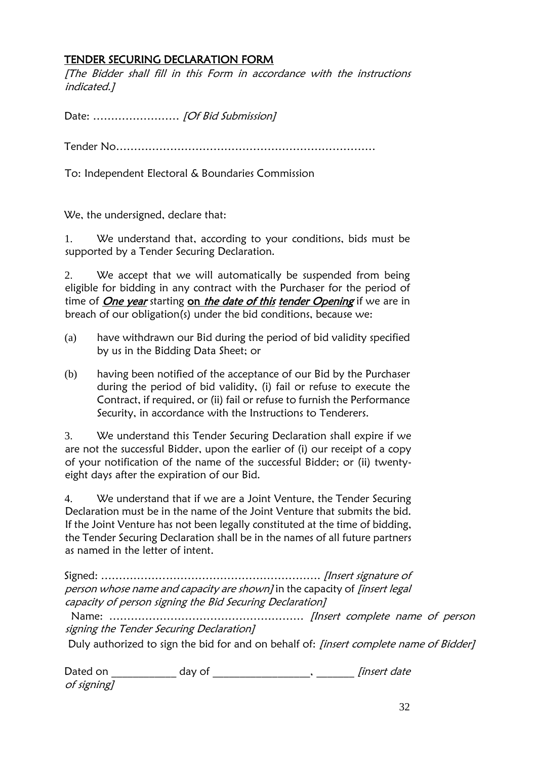#### TENDER SECURING DECLARATION FORM

[The Bidder shall fill in this Form in accordance with the instructions indicated.]

Date: ............................ [Of Bid Submission]

Tender No………………………………………………………………

To: Independent Electoral & Boundaries Commission

We, the undersigned, declare that:

1. We understand that, according to your conditions, bids must be supported by a Tender Securing Declaration.

2. We accept that we will automatically be suspended from being eligible for bidding in any contract with the Purchaser for the period of time of One year starting on the date of this tender Opening if we are in breach of our obligation(s) under the bid conditions, because we:

- (a) have withdrawn our Bid during the period of bid validity specified by us in the Bidding Data Sheet; or
- (b) having been notified of the acceptance of our Bid by the Purchaser during the period of bid validity, (i) fail or refuse to execute the Contract, if required, or (ii) fail or refuse to furnish the Performance Security, in accordance with the Instructions to Tenderers.

3. We understand this Tender Securing Declaration shall expire if we are not the successful Bidder, upon the earlier of (i) our receipt of a copy of your notification of the name of the successful Bidder; or (ii) twentyeight days after the expiration of our Bid.

4. We understand that if we are a Joint Venture, the Tender Securing Declaration must be in the name of the Joint Venture that submits the bid. If the Joint Venture has not been legally constituted at the time of bidding, the Tender Securing Declaration shall be in the names of all future partners as named in the letter of intent.

Signed: ……………………………………………………. [Insert signature of person whose name and capacity are shown] in the capacity of *[insert legal* capacity of person signing the Bid Securing Declaration]

 Name: ……………………………………………… [Insert complete name of person signing the Tender Securing Declaration]

Duly authorized to sign the bid for and on behalf of: *[insert complete name of Bidder]* 

| Dated on    | dav o' | <i>Tinsert date</i> |
|-------------|--------|---------------------|
| of signing] |        |                     |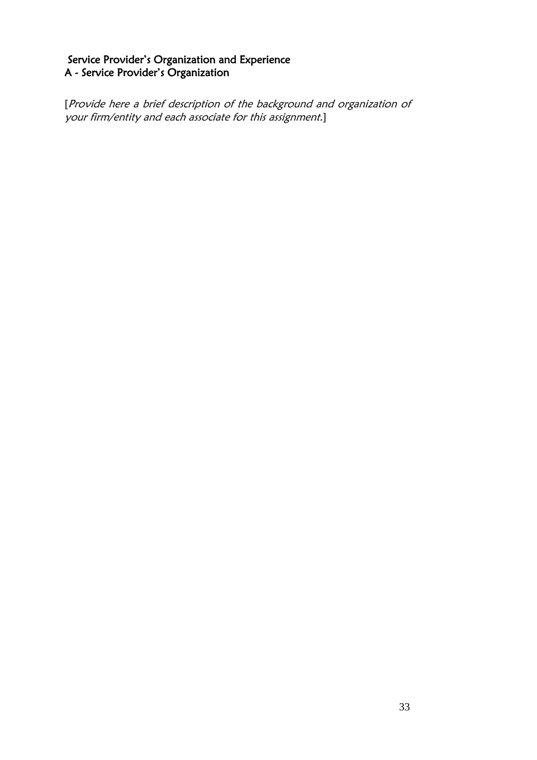#### Service Provider's Organization and Experience A - Service Provider's Organization

[Provide here a brief description of the background and organization of your firm/entity and each associate for this assignment.]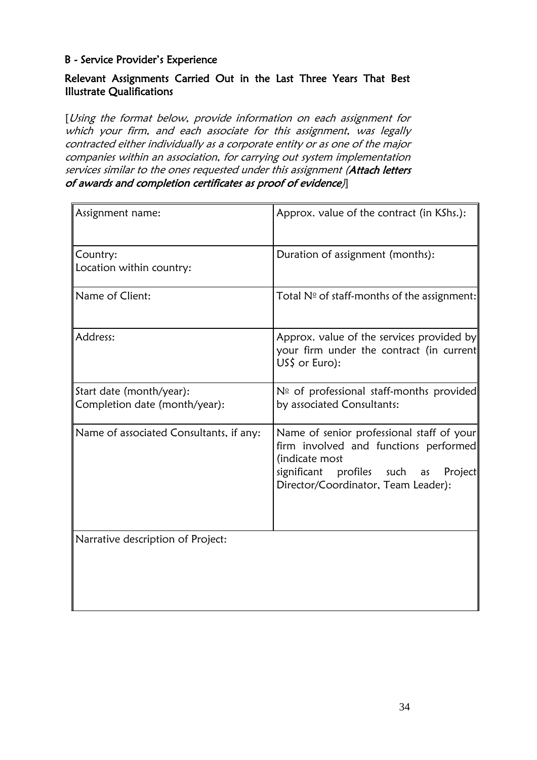#### B - Service Provider's Experience

#### Relevant Assignments Carried Out in the Last Three Years That Best Illustrate Qualifications

[Using the format below, provide information on each assignment for which your firm, and each associate for this assignment, was legally contracted either individually as a corporate entity or as one of the major companies within an association, for carrying out system implementation services similar to the ones requested under this assignment (Attach letters of awards and completion certificates as proof of evidence)]

| Assignment name:                                          | Approx. value of the contract (in KShs.):                                                                                                                                                    |
|-----------------------------------------------------------|----------------------------------------------------------------------------------------------------------------------------------------------------------------------------------------------|
| Country:<br>Location within country:                      | Duration of assignment (months):                                                                                                                                                             |
| Name of Client:                                           | Total $N°$ of staff-months of the assignment:                                                                                                                                                |
| Address:                                                  | Approx. value of the services provided by<br>your firm under the contract (in current<br>US\$ or Euro):                                                                                      |
| Start date (month/year):<br>Completion date (month/year): | $N°$ of professional staff-months provided<br>by associated Consultants:                                                                                                                     |
| Name of associated Consultants, if any:                   | Name of senior professional staff of your<br>firm involved and functions performed<br>(indicate most<br>significant<br>profiles such<br>Project<br>as<br>Director/Coordinator, Team Leader): |
| Narrative description of Project:                         |                                                                                                                                                                                              |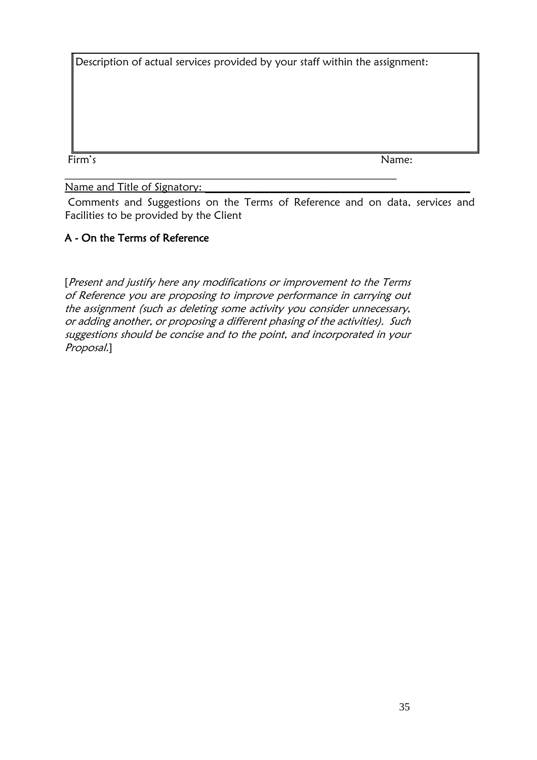Description of actual services provided by your staff within the assignment:

Firm's Name:

Name and Title of Signatory:

 Comments and Suggestions on the Terms of Reference and on data, services and Facilities to be provided by the Client

### A - On the Terms of Reference

[Present and justify here any modifications or improvement to the Terms of Reference you are proposing to improve performance in carrying out the assignment (such as deleting some activity you consider unnecessary, or adding another, or proposing a different phasing of the activities). Such suggestions should be concise and to the point, and incorporated in your Proposal.]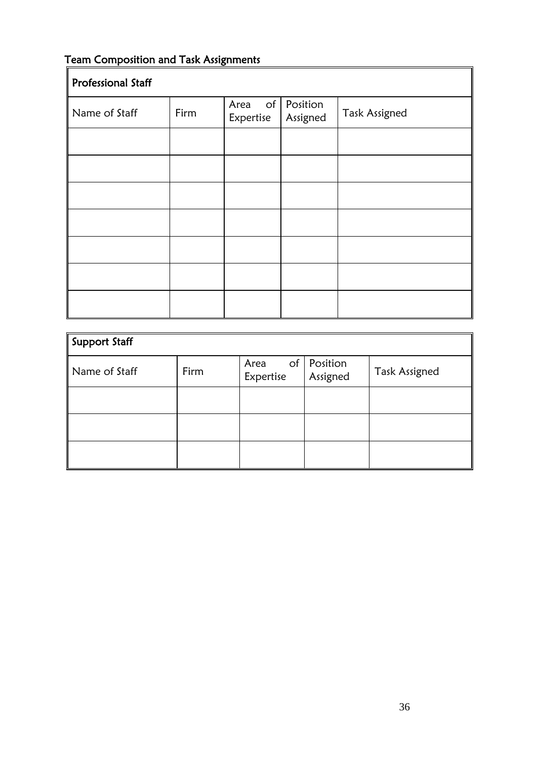## <span id="page-36-0"></span>Team Composition and Task Assignments

| <b>Professional Staff</b> |      |                                |                      |                      |  |
|---------------------------|------|--------------------------------|----------------------|----------------------|--|
| Name of Staff             | Firm | $\circ$ f<br>Area<br>Expertise | Position<br>Assigned | <b>Task Assigned</b> |  |
|                           |      |                                |                      |                      |  |
|                           |      |                                |                      |                      |  |
|                           |      |                                |                      |                      |  |
|                           |      |                                |                      |                      |  |
|                           |      |                                |                      |                      |  |
|                           |      |                                |                      |                      |  |
|                           |      |                                |                      |                      |  |

| <b>Support Staff</b> |      |                   |                           |                      |
|----------------------|------|-------------------|---------------------------|----------------------|
| Name of Staff        | Firm | Area<br>Expertise | of   Position<br>Assigned | <b>Task Assigned</b> |
|                      |      |                   |                           |                      |
|                      |      |                   |                           |                      |
|                      |      |                   |                           |                      |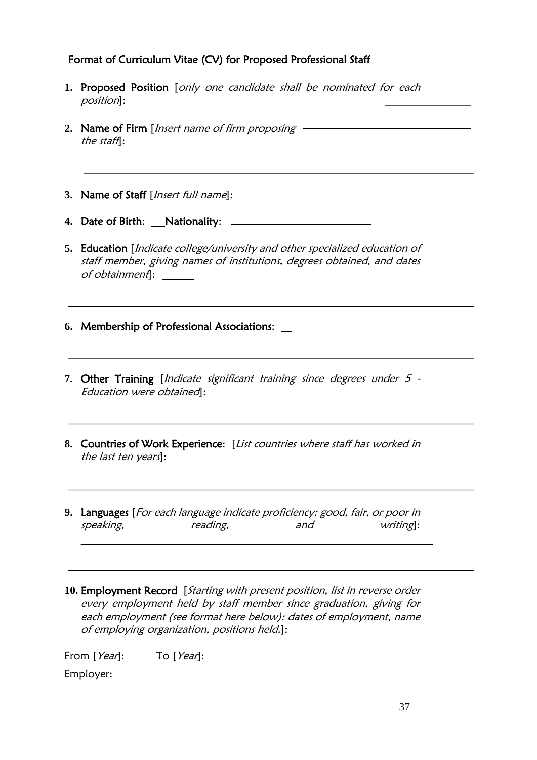#### Format of Curriculum Vitae (CV) for Proposed Professional Staff

- **1.** Proposed Position [only one candidate shall be nominated for each position]:
- 2. Name of Firm [Insert name of firm proposing the staff]:
- **3.** Name of Staff [Insert full name]: \_\_\_\_
- **4.** Date of Birth: Nationality:
- **5.** Education [Indicate college/university and other specialized education of staff member, giving names of institutions, degrees obtained, and dates of obtainment]:
- **6.** Membership of Professional Associations:
- 7. Other Training [*Indicate significant training since degrees under 5 -*Education were obtained]:
- **8.** Countries of Work Experience: [List countries where staff has worked in the last ten years]:
- **9.** Languages [For each language indicate proficiency: good, fair, or poor in speaking, reading, and writing]:
- **10.** Employment Record [Starting with present position, list in reverse order every employment held by staff member since graduation, giving for each employment (see format here below): dates of employment, name of employing organization, positions held.]:

From  $[Year]:$  To  $[Year]:$ 

Employer: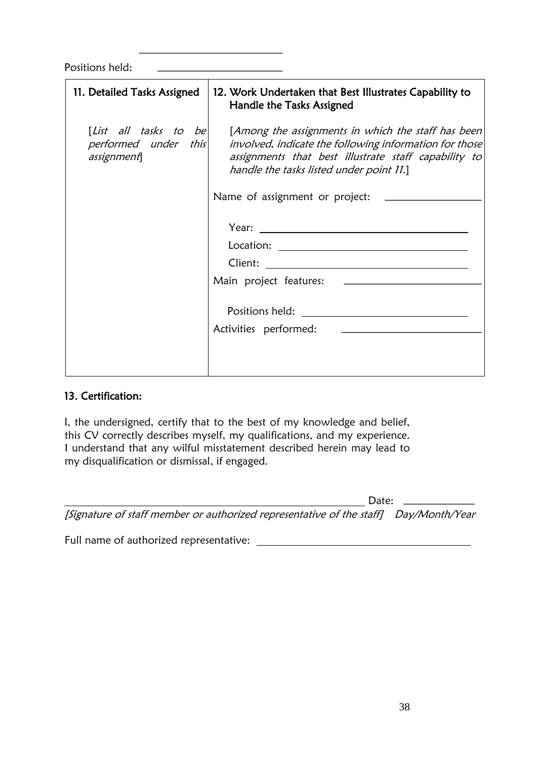Positions held:

| 11. Detailed Tasks Assigned        | 12. Work Undertaken that Best Illustrates Capability to<br>Handle the Tasks Assigned                                                                                                                                                           |
|------------------------------------|------------------------------------------------------------------------------------------------------------------------------------------------------------------------------------------------------------------------------------------------|
| performed under this<br>assignment | [List all tasks to be $\vert$ [Among the assignments in which the staff has been<br>involved, indicate the following information for those<br>assignments that best illustrate staff capability to<br>handle the tasks listed under point 11.] |
|                                    | Name of assignment or project: _____                                                                                                                                                                                                           |
|                                    |                                                                                                                                                                                                                                                |
|                                    |                                                                                                                                                                                                                                                |
|                                    |                                                                                                                                                                                                                                                |
|                                    |                                                                                                                                                                                                                                                |
|                                    |                                                                                                                                                                                                                                                |
|                                    |                                                                                                                                                                                                                                                |
|                                    |                                                                                                                                                                                                                                                |
|                                    |                                                                                                                                                                                                                                                |

#### 13. Certification:

I, the undersigned, certify that to the best of my knowledge and belief, this CV correctly describes myself, my qualifications, and my experience. I understand that any wilful misstatement described herein may lead to my disqualification or dismissal, if engaged.

| Date:                                                                                |  |
|--------------------------------------------------------------------------------------|--|
| [Signature of staff member or authorized representative of the staff] Day/Month/Year |  |

| Full name of authorized representative: |  |
|-----------------------------------------|--|
|                                         |  |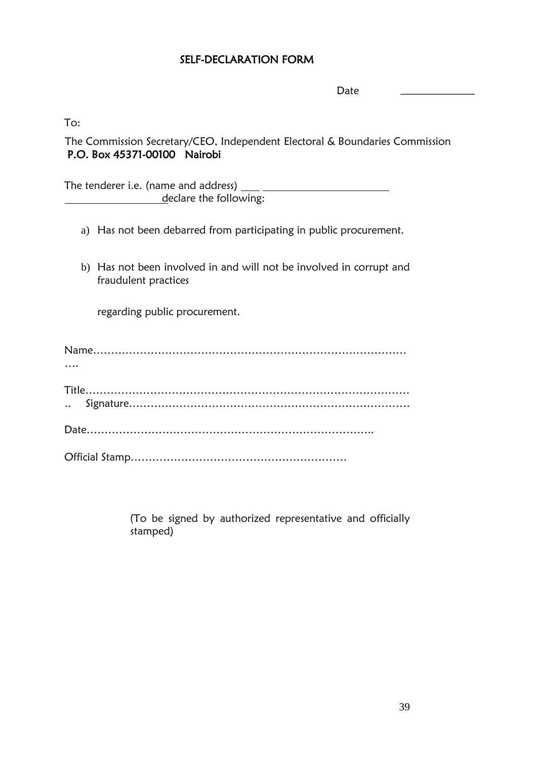#### SELF-DECLARATION FORM

Date

To:

The Commission Secretary/CEO, Independent Electoral & Boundaries Commission P.O. Box 45371-00100 Nairobi

The tenderer i.e. (name and address) declare the following:

- a) Has not been debarred from participating in public procurement.
- b) Has not been involved in and will not be involved in corrupt and fraudulent practices

regarding public procurement.

| $\cdots$ |  |
|----------|--|
|          |  |
|          |  |
|          |  |
|          |  |

(To be signed by authorized representative and officially stamped)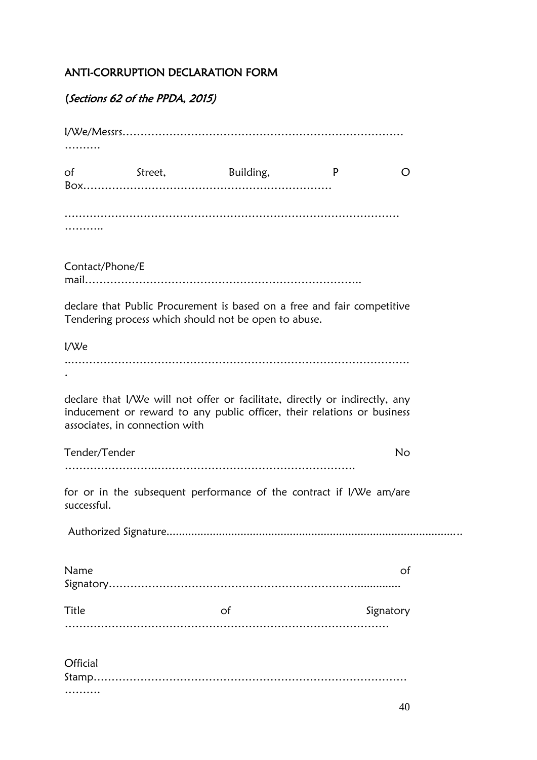#### ANTI-CORRUPTION DECLARATION FORM

## (Sections 62 of the PPDA, 2015)

| $\circ$ f       | Street,                        | Building,                                                                                                                                              | P | O         |  |
|-----------------|--------------------------------|--------------------------------------------------------------------------------------------------------------------------------------------------------|---|-----------|--|
|                 |                                |                                                                                                                                                        |   |           |  |
|                 |                                |                                                                                                                                                        |   |           |  |
| Contact/Phone/E |                                |                                                                                                                                                        |   |           |  |
|                 |                                | declare that Public Procurement is based on a free and fair competitive<br>Tendering process which should not be open to abuse.                        |   |           |  |
| I/We            |                                |                                                                                                                                                        |   |           |  |
|                 |                                |                                                                                                                                                        |   |           |  |
|                 | associates, in connection with | declare that I/We will not offer or facilitate, directly or indirectly, any<br>inducement or reward to any public officer, their relations or business |   |           |  |
| Tender/Tender   |                                |                                                                                                                                                        |   | No        |  |
|                 |                                |                                                                                                                                                        |   |           |  |
| successful.     |                                | for or in the subsequent performance of the contract if I/We am/are                                                                                    |   |           |  |
|                 |                                |                                                                                                                                                        |   |           |  |
| Name            |                                |                                                                                                                                                        |   | of        |  |
| Title           |                                | of                                                                                                                                                     |   | Signatory |  |
| Official        |                                |                                                                                                                                                        |   |           |  |
|                 |                                |                                                                                                                                                        |   |           |  |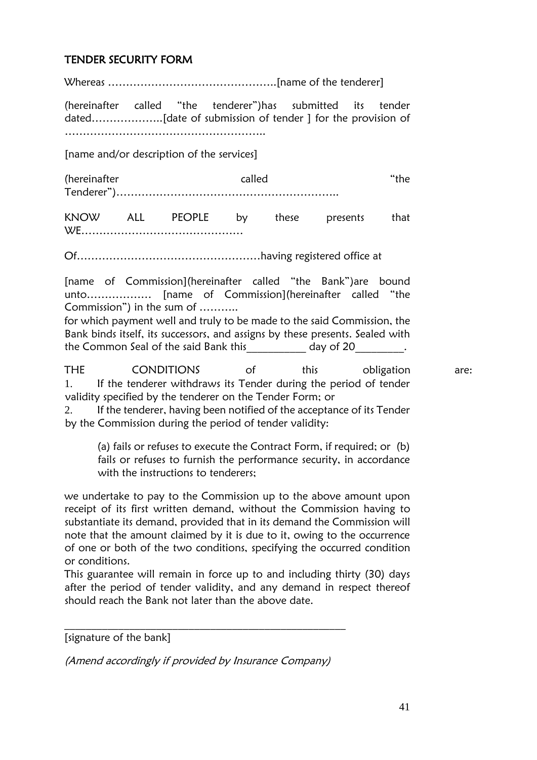#### TENDER SECURITY FORM

Whereas ………………………………………..[name of the tenderer]

(hereinafter called "the tenderer")has submitted its tender dated………………..[date of submission of tender ] for the provision of ………………………………………………..

[name and/or description of the services]

(hereinafter called "the Tenderer")……………………………………………………..

KNOW ALL PEOPLE by these presents that WE………………………………………

Of……………………………………………having registered office at

[name of Commission](hereinafter called "the Bank") are bound unto……………… [name of Commission](hereinafter called "the Commission") in the sum of ………..

for which payment well and truly to be made to the said Commission, the Bank binds itself, its successors, and assigns by these presents. Sealed with the Common Seal of the said Bank this The Solay of 20 and Seal of the said Bank this

THE CONDITIONS of this obligation are: 1. If the tenderer withdraws its Tender during the period of tender validity specified by the tenderer on the Tender Form; or

2. If the tenderer, having been notified of the acceptance of its Tender by the Commission during the period of tender validity:

(a) fails or refuses to execute the Contract Form, if required; or (b) fails or refuses to furnish the performance security, in accordance with the instructions to tenderers;

we undertake to pay to the Commission up to the above amount upon receipt of its first written demand, without the Commission having to substantiate its demand, provided that in its demand the Commission will note that the amount claimed by it is due to it, owing to the occurrence of one or both of the two conditions, specifying the occurred condition or conditions.

This guarantee will remain in force up to and including thirty (30) days after the period of tender validity, and any demand in respect thereof should reach the Bank not later than the above date.

[signature of the bank]

(Amend accordingly if provided by Insurance Company)

\_\_\_\_\_\_\_\_\_\_\_\_\_\_\_\_\_\_\_\_\_\_\_\_\_\_\_\_\_\_\_\_\_\_\_\_\_\_\_\_\_\_\_\_\_\_\_\_\_\_\_\_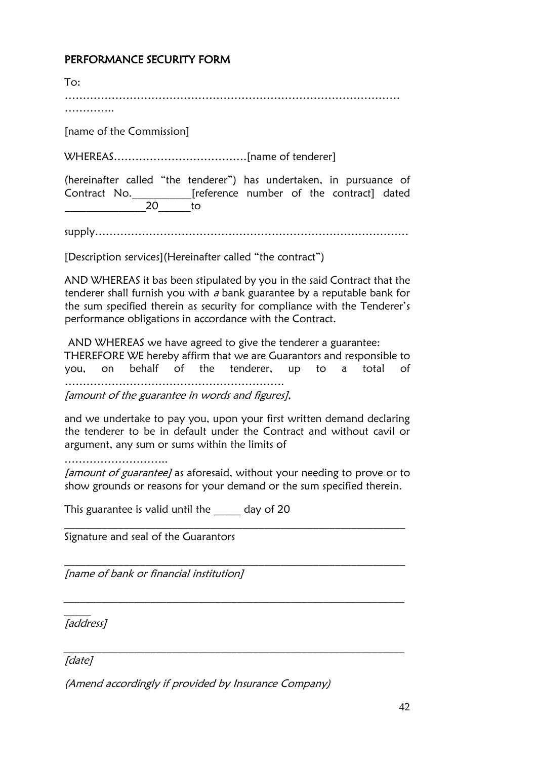#### PERFORMANCE SECURITY FORM

| Tor:                                                                                                                               |
|------------------------------------------------------------------------------------------------------------------------------------|
|                                                                                                                                    |
| [name of the Commission]                                                                                                           |
|                                                                                                                                    |
| (hereinafter called "the tenderer") has undertaken, in pursuance of<br>Contract No. [reference number of the contract] dated<br>20 |
| tο                                                                                                                                 |

supply……………………………………………………………………………

[Description services](Hereinafter called "the contract")

AND WHEREAS it bas been stipulated by you in the said Contract that the tenderer shall furnish you with  $a$  bank guarantee by a reputable bank for the sum specified therein as security for compliance with the Tenderer's performance obligations in accordance with the Contract.

AND WHEREAS we have agreed to give the tenderer a guarantee: THEREFORE WE hereby affirm that we are Guarantors and responsible to you, on behalf of the tenderer, up to a total of ……………………………………………………. [amount of the guarantee in words and figures],

and we undertake to pay you, upon your first written demand declaring the tenderer to be in default under the Contract and without cavil or argument, any sum or sums within the limits of

………………………………

[amount of guarantee] as aforesaid, without your needing to prove or to show grounds or reasons for your demand or the sum specified therein.

\_\_\_\_\_\_\_\_\_\_\_\_\_\_\_\_\_\_\_\_\_\_\_\_\_\_\_\_\_\_\_\_\_\_\_\_\_\_\_\_\_\_\_\_\_\_\_\_\_\_\_\_\_\_\_\_\_\_\_\_\_\_\_

\_\_\_\_\_\_\_\_\_\_\_\_\_\_\_\_\_\_\_\_\_\_\_\_\_\_\_\_\_\_\_\_\_\_\_\_\_\_\_\_\_\_\_\_\_\_\_\_\_\_\_\_\_\_\_\_\_\_\_\_\_\_\_

\_\_\_\_\_\_\_\_\_\_\_\_\_\_\_\_\_\_\_\_\_\_\_\_\_\_\_\_\_\_\_\_\_\_\_\_\_\_\_\_\_\_\_\_\_\_\_\_\_\_\_\_\_\_\_\_\_\_\_\_\_\_\_

\_\_\_\_\_\_\_\_\_\_\_\_\_\_\_\_\_\_\_\_\_\_\_\_\_\_\_\_\_\_\_\_\_\_\_\_\_\_\_\_\_\_\_\_\_\_\_\_\_\_\_\_\_\_\_\_\_\_\_\_\_\_\_

This guarantee is valid until the day of 20

Signature and seal of the Guarantors

[name of bank or financial institution]

\_\_\_\_\_\_ [address]

[date]

(Amend accordingly if provided by Insurance Company)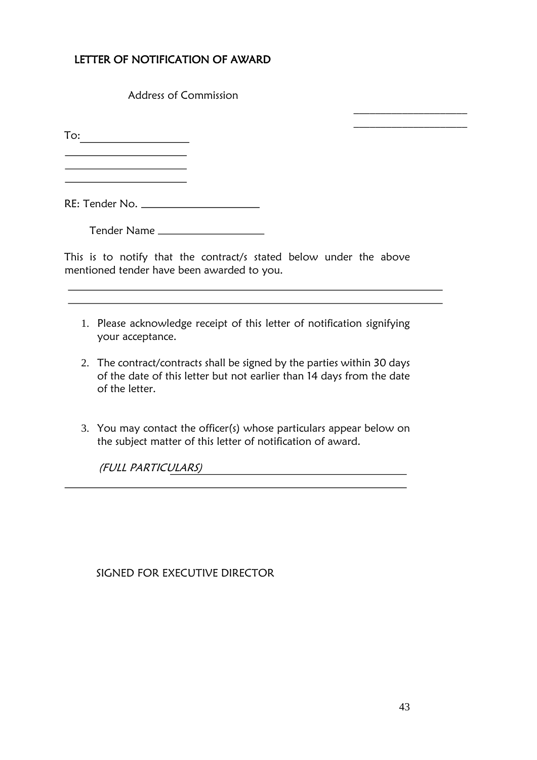### LETTER OF NOTIFICATION OF AWARD

Address of Commission

To:

<u> 1990 - Johann Barbara, martin a</u>

RE: Tender No.

Tender Name

This is to notify that the contract/s stated below under the above mentioned tender have been awarded to you.

- 1. Please acknowledge receipt of this letter of notification signifying your acceptance.
- 2. The contract/contracts shall be signed by the parties within 30 days of the date of this letter but not earlier than 14 days from the date of the letter.
- 3. You may contact the officer(s) whose particulars appear below on the subject matter of this letter of notification of award.

(FULL PARTICULARS)

SIGNED FOR EXECUTIVE DIRECTOR

 $\mathcal{L}_\text{max} = \frac{1}{2} \sum_{i=1}^{n} \frac{1}{2} \sum_{i=1}^{n} \frac{1}{2} \sum_{i=1}^{n} \frac{1}{2} \sum_{i=1}^{n} \frac{1}{2} \sum_{i=1}^{n} \frac{1}{2} \sum_{i=1}^{n} \frac{1}{2} \sum_{i=1}^{n} \frac{1}{2} \sum_{i=1}^{n} \frac{1}{2} \sum_{i=1}^{n} \frac{1}{2} \sum_{i=1}^{n} \frac{1}{2} \sum_{i=1}^{n} \frac{1}{2} \sum_{i=1}^{n} \frac{1$  $\mathcal{L}_\text{max} = \frac{1}{2} \sum_{i=1}^{n} \frac{1}{2} \sum_{i=1}^{n} \frac{1}{2} \sum_{i=1}^{n} \frac{1}{2} \sum_{i=1}^{n} \frac{1}{2} \sum_{i=1}^{n} \frac{1}{2} \sum_{i=1}^{n} \frac{1}{2} \sum_{i=1}^{n} \frac{1}{2} \sum_{i=1}^{n} \frac{1}{2} \sum_{i=1}^{n} \frac{1}{2} \sum_{i=1}^{n} \frac{1}{2} \sum_{i=1}^{n} \frac{1}{2} \sum_{i=1}^{n} \frac{1$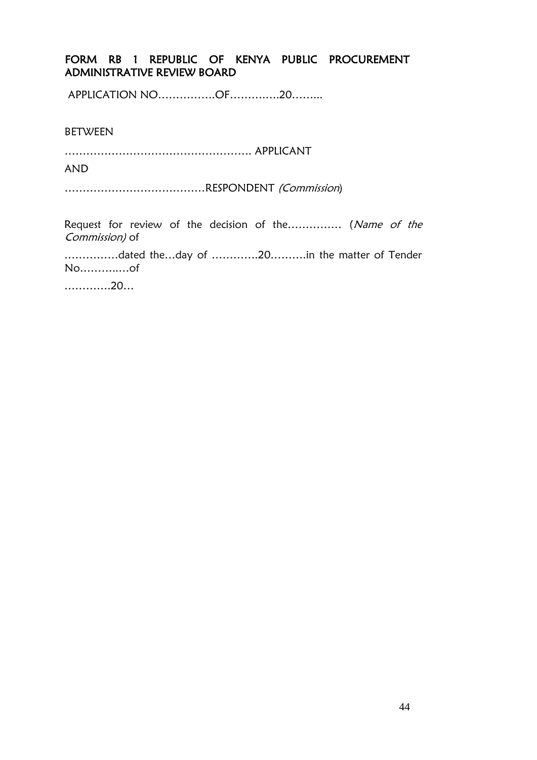#### FORM RB 1 REPUBLIC OF KENYA PUBLIC PROCUREMENT ADMINISTRATIVE REVIEW BOARD

APPLICATION NO…………….OF……….….20……...

BETWEEN

……………………………………………. APPLICANT

AND

…………………………………RESPONDENT (Commission)

Request for review of the decision of the…………… (Name of the Commission) of

……………dated the…day of ………….20……….in the matter of Tender No………..…of

………….20…